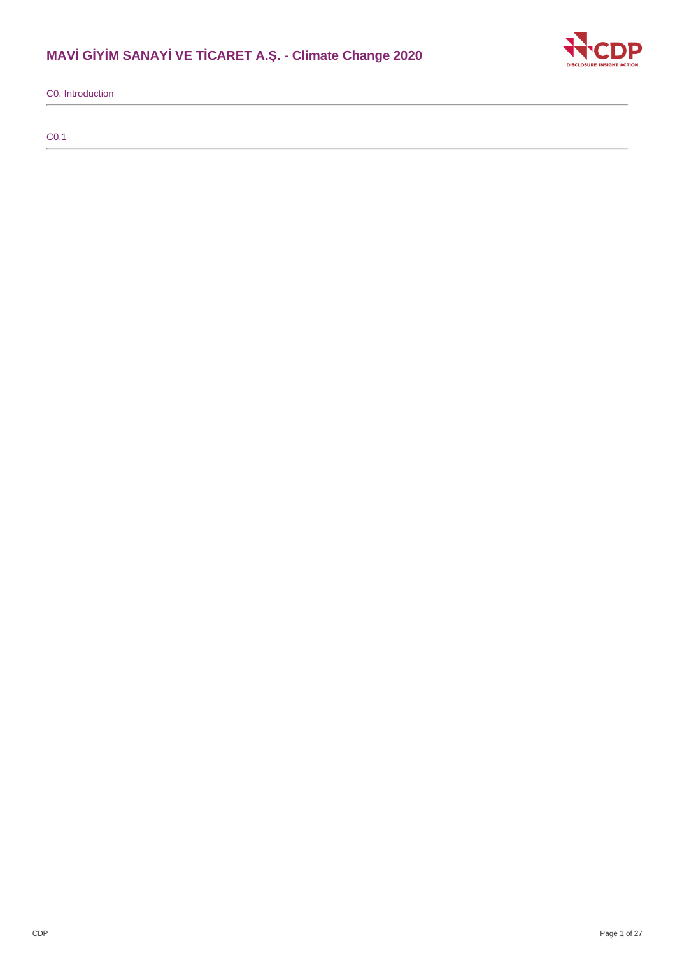# **MAVİ GİYİM SANAYİ VE TİCARET A.Ş. - Climate Change 2020**



C0. Introduction

C0.1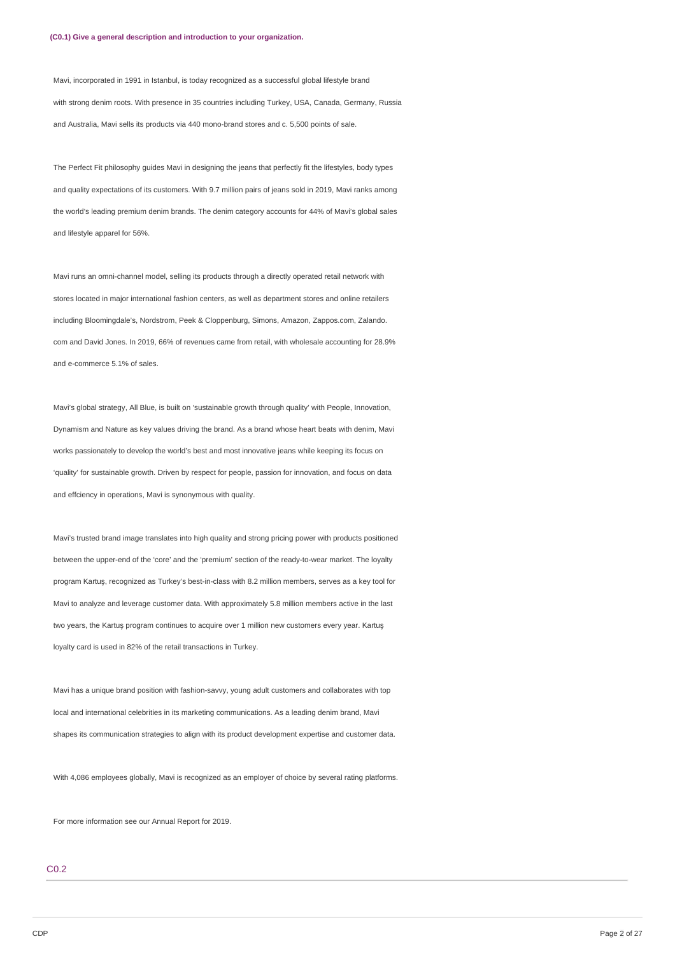Mavi, incorporated in 1991 in Istanbul, is today recognized as a successful global lifestyle brand with strong denim roots. With presence in 35 countries including Turkey, USA, Canada, Germany, Russia and Australia, Mavi sells its products via 440 mono-brand stores and c. 5,500 points of sale.

The Perfect Fit philosophy guides Mavi in designing the jeans that perfectly fit the lifestyles, body types and quality expectations of its customers. With 9.7 million pairs of jeans sold in 2019, Mavi ranks among the world's leading premium denim brands. The denim category accounts for 44% of Mavi's global sales and lifestyle apparel for 56%.

Mavi runs an omni-channel model, selling its products through a directly operated retail network with stores located in major international fashion centers, as well as department stores and online retailers including Bloomingdale's, Nordstrom, Peek & Cloppenburg, Simons, Amazon, Zappos.com, Zalando. com and David Jones. In 2019, 66% of revenues came from retail, with wholesale accounting for 28.9% and e-commerce 5.1% of sales.

Mavi's global strategy, All Blue, is built on 'sustainable growth through quality' with People, Innovation, Dynamism and Nature as key values driving the brand. As a brand whose heart beats with denim, Mavi works passionately to develop the world's best and most innovative jeans while keeping its focus on 'quality' for sustainable growth. Driven by respect for people, passion for innovation, and focus on data and effciency in operations, Mavi is synonymous with quality.

Mavi's trusted brand image translates into high quality and strong pricing power with products positioned between the upper-end of the 'core' and the 'premium' section of the ready-to-wear market. The loyalty program Kartuş, recognized as Turkey's best-in-class with 8.2 million members, serves as a key tool for Mavi to analyze and leverage customer data. With approximately 5.8 million members active in the last two years, the Kartuş program continues to acquire over 1 million new customers every year. Kartuş loyalty card is used in 82% of the retail transactions in Turkey.

Mavi has a unique brand position with fashion-savvy, young adult customers and collaborates with top local and international celebrities in its marketing communications. As a leading denim brand, Mavi shapes its communication strategies to align with its product development expertise and customer data.

With 4,086 employees globally, Mavi is recognized as an employer of choice by several rating platforms.

For more information see our Annual Report for 2019.

## C0.2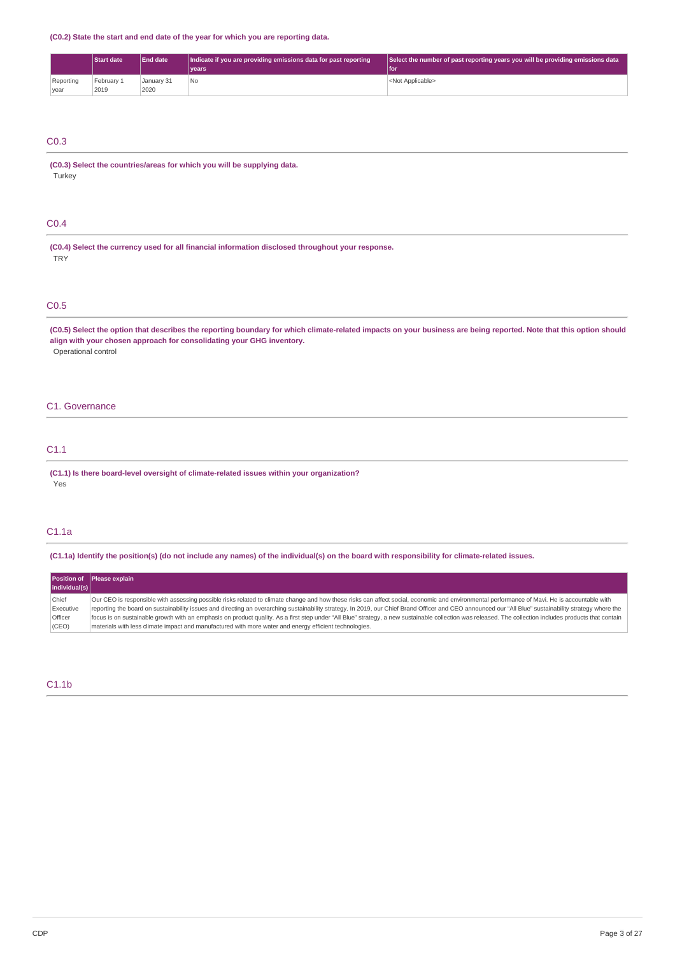**(C0.2) State the start and end date of the year for which you are reporting data.**

|           | <b>Start date</b> | <b>End date</b> | Indicate if you are providing emissions data for past reporting | Select the number of past reporting years you will be providing emissions data |
|-----------|-------------------|-----------------|-----------------------------------------------------------------|--------------------------------------------------------------------------------|
|           |                   |                 | <b>vears</b>                                                    | l foi                                                                          |
| Reporting | February 1        | Januarv 31      | ' No                                                            | <not applicable=""></not>                                                      |
| year      | 2019              | 2020            |                                                                 |                                                                                |

## C0.3

**(C0.3) Select the countries/areas for which you will be supplying data.** Turkey

## C0.4

**(C0.4) Select the currency used for all financial information disclosed throughout your response. TRY** 

## C0.5

(C0.5) Select the option that describes the reporting boundary for which climate-related impacts on your business are being reported. Note that this option should **align with your chosen approach for consolidating your GHG inventory.** Operational control

## C1. Governance

## C1.1

**(C1.1) Is there board-level oversight of climate-related issues within your organization?** Yes

## C1.1a

(C1.1a) Identify the position(s) (do not include any names) of the individual(s) on the board with responsibility for climate-related issues.

|                | <b>Position of Please explain</b>                                                                                                                                                                       |
|----------------|---------------------------------------------------------------------------------------------------------------------------------------------------------------------------------------------------------|
| individual(s)  |                                                                                                                                                                                                         |
| Chief          | Our CEO is responsible with assessing possible risks related to climate change and how these risks can affect social, economic and environmental performance of Mavi. He is accountable with            |
| Executive      | reporting the board on sustainability issues and directing an overarching sustainability strategy. In 2019, our Chief Brand Officer and CEO announced our "All Blue" sustainability strategy where the  |
| <b>Officer</b> | focus is on sustainable growth with an emphasis on product quality. As a first step under "All Blue" strategy, a new sustainable collection was released. The collection includes products that contain |
| (CEO)          | materials with less climate impact and manufactured with more water and energy efficient technologies.                                                                                                  |

## C1.1b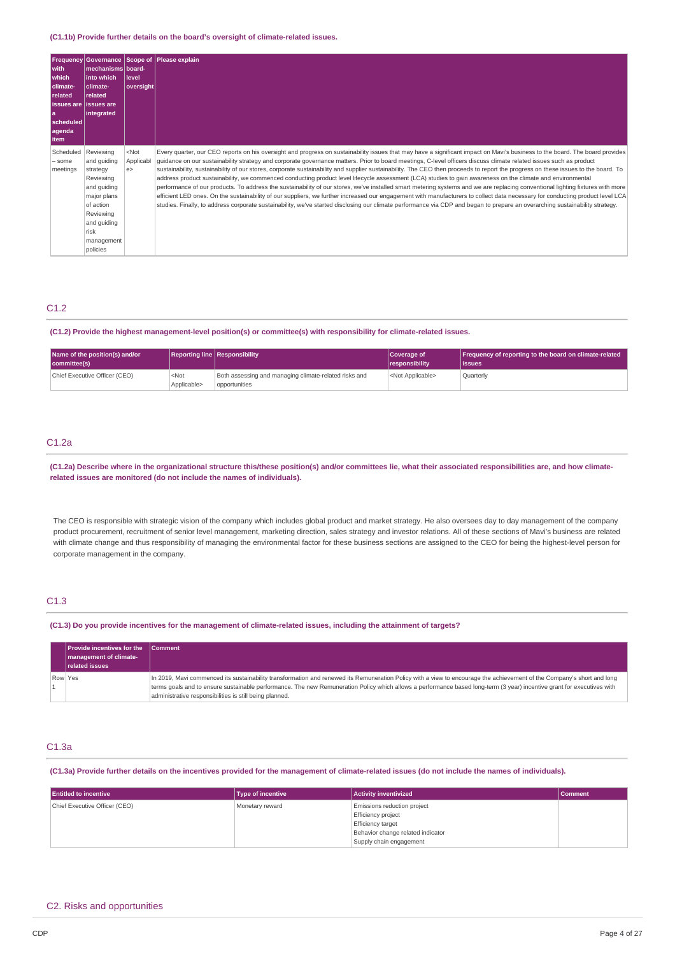#### **(C1.1b) Provide further details on the board's oversight of climate-related issues.**

| with<br><b>which</b><br>climate-<br>related<br>l issues are lissues are<br>l a<br> scheduled <br>agenda<br><b>item</b> | mechanisms board-<br>l into which<br>climate-<br>related<br>integrated                                                                                     | llevel<br> oversight      | <b>Frequency Governance Scope of Please explain</b>                                                                                                                                                                                                                                                                                                                                                                                                                                                                                                                                                                                                                                                                                                                                                                                                                                                                                                                                                                                                                                                                                                                                                                                                       |
|------------------------------------------------------------------------------------------------------------------------|------------------------------------------------------------------------------------------------------------------------------------------------------------|---------------------------|-----------------------------------------------------------------------------------------------------------------------------------------------------------------------------------------------------------------------------------------------------------------------------------------------------------------------------------------------------------------------------------------------------------------------------------------------------------------------------------------------------------------------------------------------------------------------------------------------------------------------------------------------------------------------------------------------------------------------------------------------------------------------------------------------------------------------------------------------------------------------------------------------------------------------------------------------------------------------------------------------------------------------------------------------------------------------------------------------------------------------------------------------------------------------------------------------------------------------------------------------------------|
| Scheduled<br>- some<br>meetings                                                                                        | Reviewing<br>and quiding<br>strategy<br>Reviewing<br>and quiding<br>major plans<br>of action<br>Reviewing<br>and guiding<br>risk<br>management<br>policies | $<$ Not<br>Applicabl<br>e | Every quarter, our CEO reports on his oversight and progress on sustainability issues that may have a significant impact on Mavi's business to the board. The board provides<br>quidance on our sustainability strategy and corporate governance matters. Prior to board meetings, C-level officers discuss climate related issues such as product<br>sustainability, sustainability of our stores, corporate sustainability and supplier sustainability. The CEO then proceeds to report the progress on these issues to the board. To<br>address product sustainability, we commenced conducting product level lifecycle assessment (LCA) studies to gain awareness on the climate and environmental<br>performance of our products. To address the sustainability of our stores, we've installed smart metering systems and we are replacing conventional lighting fixtures with more<br>efficient LED ones. On the sustainability of our suppliers, we further increased our engagement with manufacturers to collect data necessary for conducting product level LCA<br>studies. Finally, to address corporate sustainability, we've started disclosing our climate performance via CDP and began to prepare an overarching sustainability strategy. |

## C1.2

### **(C1.2) Provide the highest management-level position(s) or committee(s) with responsibility for climate-related issues.**

| Name of the position(s) and/or<br>committee(s) |                        | <b>Reporting line Responsibility</b>                                   | Coverage of<br><i><u><b>I</b></u></i> responsibility | Frequency of reporting to the board on climate-related<br>lissues |
|------------------------------------------------|------------------------|------------------------------------------------------------------------|------------------------------------------------------|-------------------------------------------------------------------|
| Chief Executive Officer (CEO)                  | $<$ Not<br>Applicable> | Both assessing and managing climate-related risks and<br>opportunities | <not applicable=""></not>                            | Quarterly                                                         |

## C1.2a

(C1.2a) Describe where in the organizational structure this/these position(s) and/or committees lie, what their associated responsibilities are, and how climate**related issues are monitored (do not include the names of individuals).**

The CEO is responsible with strategic vision of the company which includes global product and market strategy. He also oversees day to day management of the company product procurement, recruitment of senior level management, marketing direction, sales strategy and investor relations. All of these sections of Mavi's business are related with climate change and thus responsibility of managing the environmental factor for these business sections are assigned to the CEO for being the highest-level person for corporate management in the company.

## C1.3

#### (C1.3) Do you provide incentives for the management of climate-related issues, including the attainment of targets?

|         | <b>Provide incentives for the</b><br>management of climate-<br>related issues | <b>Comment</b>                                                                                                                                                                                                                                                                                                                                                                                              |
|---------|-------------------------------------------------------------------------------|-------------------------------------------------------------------------------------------------------------------------------------------------------------------------------------------------------------------------------------------------------------------------------------------------------------------------------------------------------------------------------------------------------------|
| Row Yes |                                                                               | In 2019, Mavi commenced its sustainability transformation and renewed its Remuneration Policy with a view to encourage the achievement of the Company's short and long<br>terms goals and to ensure sustainable performance. The new Remuneration Policy which allows a performance based long-term (3 year) incentive grant for executives with<br>administrative responsibilities is still being planned. |

## C1.3a

#### (C1.3a) Provide further details on the incentives provided for the management of climate-related issues (do not include the names of individuals).

| <b>Entitled to incentive</b>  | <b>Type of incentive</b> | <b>Activity inventivized</b>      | Comment |
|-------------------------------|--------------------------|-----------------------------------|---------|
| Chief Executive Officer (CEO) | Monetary reward          | Emissions reduction project       |         |
|                               |                          | Efficiency project                |         |
|                               |                          | <b>Efficiency target</b>          |         |
|                               |                          | Behavior change related indicator |         |
|                               |                          | Supply chain engagement           |         |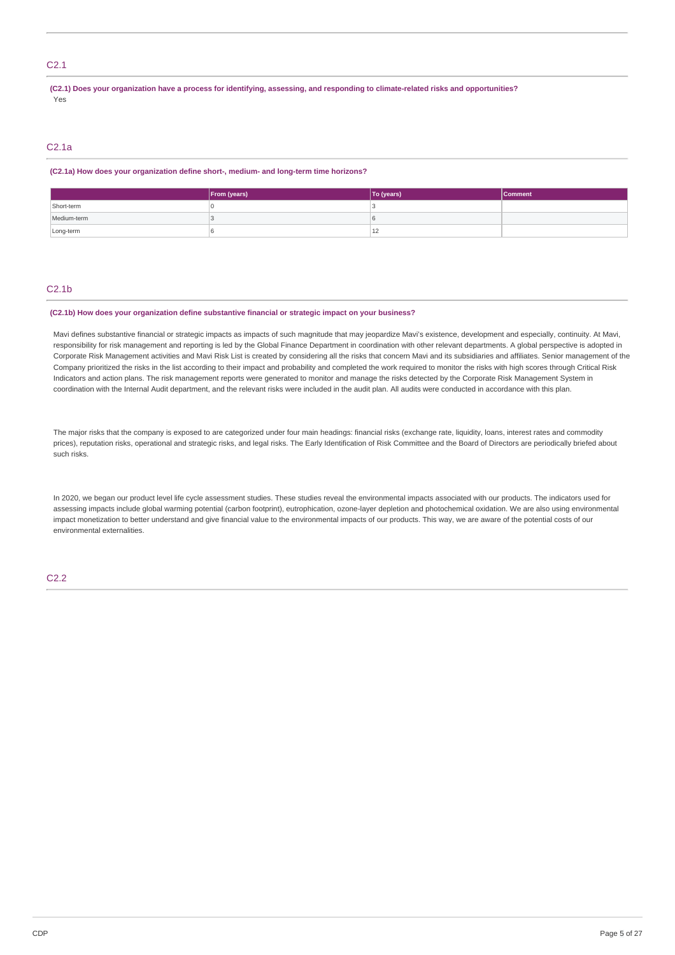## C2.1

(C2.1) Does your organization have a process for identifying, assessing, and responding to climate-related risks and opportunities? Yes

## C2.1a

#### **(C2.1a) How does your organization define short-, medium- and long-term time horizons?**

|             | From (years) | To (years)         | <b>Comment</b> |
|-------------|--------------|--------------------|----------------|
| Short-term  |              |                    |                |
| Medium-term |              |                    |                |
| Long-term   |              | $\sim$<br><u>_</u> |                |

### C2.1b

#### **(C2.1b) How does your organization define substantive financial or strategic impact on your business?**

Mavi defines substantive financial or strategic impacts as impacts of such magnitude that may jeopardize Mavi's existence, development and especially, continuity. At Mavi, responsibility for risk management and reporting is led by the Global Finance Department in coordination with other relevant departments. A global perspective is adopted in Corporate Risk Management activities and Mavi Risk List is created by considering all the risks that concern Mavi and its subsidiaries and affiliates. Senior management of the Company prioritized the risks in the list according to their impact and probability and completed the work required to monitor the risks with high scores through Critical Risk Indicators and action plans. The risk management reports were generated to monitor and manage the risks detected by the Corporate Risk Management System in coordination with the Internal Audit department, and the relevant risks were included in the audit plan. All audits were conducted in accordance with this plan.

The major risks that the company is exposed to are categorized under four main headings: financial risks (exchange rate, liquidity, loans, interest rates and commodity prices), reputation risks, operational and strategic risks, and legal risks. The Early Identification of Risk Committee and the Board of Directors are periodically briefed about such risks.

In 2020, we began our product level life cycle assessment studies. These studies reveal the environmental impacts associated with our products. The indicators used for assessing impacts include global warming potential (carbon footprint), eutrophication, ozone-layer depletion and photochemical oxidation. We are also using environmental impact monetization to better understand and give financial value to the environmental impacts of our products. This way, we are aware of the potential costs of our environmental externalities.

## C2.2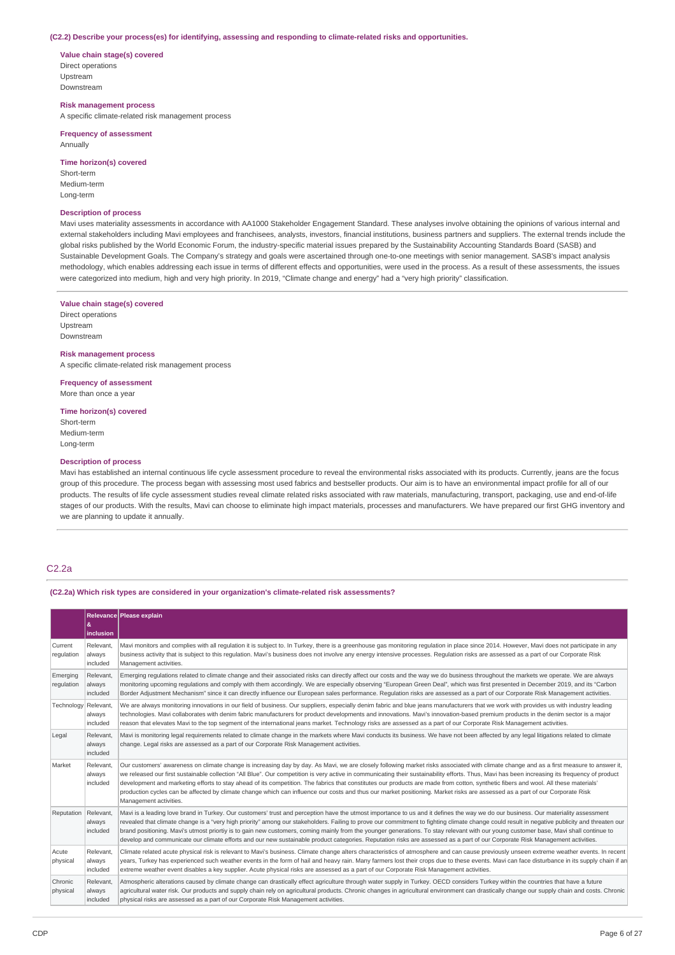#### **(C2.2) Describe your process(es) for identifying, assessing and responding to climate-related risks and opportunities.**

**Value chain stage(s) covered** Direct operations Upstream Downstream

**Risk management process** A specific climate-related risk management process

**Frequency of assessment** Annually

**Time horizon(s) covered** Short-term Medium-term

**Description of process**

Long-term

Mavi uses materiality assessments in accordance with AA1000 Stakeholder Engagement Standard. These analyses involve obtaining the opinions of various internal and external stakeholders including Mavi employees and franchisees, analysts, investors, financial institutions, business partners and suppliers. The external trends include the global risks published by the World Economic Forum, the industry-specific material issues prepared by the Sustainability Accounting Standards Board (SASB) and Sustainable Development Goals. The Company's strategy and goals were ascertained through one-to-one meetings with senior management. SASB's impact analysis methodology, which enables addressing each issue in terms of different effects and opportunities, were used in the process. As a result of these assessments, the issues were categorized into medium, high and very high priority. In 2019, "Climate change and energy" had a "very high priority" classification.

## **Value chain stage(s) covered**

Direct operations Upstream Downstream

#### **Risk management process**

A specific climate-related risk management process

**Frequency of assessment**

More than once a year

### **Time horizon(s) covered**

Short-term Medium-term Long-term

#### **Description of process**

Mavi has established an internal continuous life cycle assessment procedure to reveal the environmental risks associated with its products. Currently, jeans are the focus group of this procedure. The process began with assessing most used fabrics and bestseller products. Our aim is to have an environmental impact profile for all of our products. The results of life cycle assessment studies reveal climate related risks associated with raw materials, manufacturing, transport, packaging, use and end-of-life stages of our products. With the results, Mavi can choose to eliminate high impact materials, processes and manufacturers. We have prepared our first GHG inventory and we are planning to update it annually.

### C2.2a

**(C2.2a) Which risk types are considered in your organization's climate-related risk assessments?**

|                        | &<br>inclusion                  | Relevance Please explain                                                                                                                                                                                                                                                                                                                                                                                                                                                                                                                                                                                                                                                                                                                                                                   |
|------------------------|---------------------------------|--------------------------------------------------------------------------------------------------------------------------------------------------------------------------------------------------------------------------------------------------------------------------------------------------------------------------------------------------------------------------------------------------------------------------------------------------------------------------------------------------------------------------------------------------------------------------------------------------------------------------------------------------------------------------------------------------------------------------------------------------------------------------------------------|
| Current<br>regulation  | Relevant.<br>always<br>included | Mavi monitors and complies with all regulation it is subject to. In Turkey, there is a greenhouse gas monitoring regulation in place since 2014. However, Mavi does not participate in any<br>business activity that is subject to this regulation. Mavi's business does not involve any energy intensive processes. Regulation risks are assessed as a part of our Corporate Risk<br>Management activities.                                                                                                                                                                                                                                                                                                                                                                               |
| Emerging<br>regulation | Relevant.<br>always<br>included | Emerging regulations related to climate change and their associated risks can directly affect our costs and the way we do business throughout the markets we operate. We are always<br>monitoring upcoming regulations and comply with them accordingly. We are especially observing "European Green Deal", which was first presented in December 2019, and its "Carbon<br>Border Adjustment Mechanism" since it can directly influence our European sales performance. Regulation risks are assessed as a part of our Corporate Risk Management activities.                                                                                                                                                                                                                               |
| Technology             | Relevant,<br>always<br>included | We are always monitoring innovations in our field of business. Our suppliers, especially denim fabric and blue jeans manufacturers that we work with provides us with industry leading<br>technologies. Mavi collaborates with denim fabric manufacturers for product developments and innovations. Mavi's innovation-based premium products in the denim sector is a major<br>reason that elevates Mavi to the top segment of the international jeans market. Technology risks are assessed as a part of our Corporate Risk Management activities.                                                                                                                                                                                                                                        |
| Legal                  | Relevant.<br>always<br>included | Mavi is monitoring legal requirements related to climate change in the markets where Mavi conducts its business. We have not been affected by any legal litigations related to climate<br>change. Legal risks are assessed as a part of our Corporate Risk Management activities.                                                                                                                                                                                                                                                                                                                                                                                                                                                                                                          |
| Market                 | Relevant.<br>always<br>included | Our customers' awareness on climate change is increasing day by day. As Mavi, we are closely following market risks associated with climate change and as a first measure to answer it,<br>we released our first sustainable collection "All Blue". Our competition is very active in communicating their sustainability efforts. Thus, Mavi has been increasing its frequency of product<br>development and marketing efforts to stay ahead of its competition. The fabrics that constitutes our products are made from cotton, synthetic fibers and wool. All these materials'<br>production cycles can be affected by climate change which can influence our costs and thus our market positioning. Market risks are assessed as a part of our Corporate Risk<br>Management activities. |
| Reputation Relevant,   | always<br>included              | Mavi is a leading love brand in Turkey. Our customers' trust and perception have the utmost importance to us and it defines the way we do our business. Our materiality assessment<br>revealed that climate change is a "very high priority" among our stakeholders. Failing to prove our commitment to fighting climate change could result in negative publicity and threaten our<br>brand positioning. Mavi's utmost priortiy is to gain new customers, coming mainly from the younger generations. To stay relevant with our young customer base, Mavi shall continue to<br>develop and communicate our climate efforts and our new sustainable product categories. Reputation risks are assessed as a part of our Corporate Risk Management activities.                               |
| Acute<br>physical      | Relevant.<br>always<br>included | Climate related acute physical risk is relevant to Mavi's business. Climate change alters characteristics of atmosphere and can cause previously unseen extreme weather events. In recent<br>years, Turkey has experienced such weather events in the form of hail and heavy rain. Many farmers lost their crops due to these events. Mavi can face disturbance in its supply chain if an<br>extreme weather event disables a key supplier. Acute physical risks are assessed as a part of our Corporate Risk Management activities.                                                                                                                                                                                                                                                       |
| Chronic<br>physical    | Relevant,<br>always<br>included | Atmospheric alterations caused by climate change can drastically effect agriculture through water supply in Turkey. OECD considers Turkey within the countries that have a future<br>agricultural water risk. Our products and supply chain rely on agricultural products. Chronic changes in agricultural environment can drastically change our supply chain and costs. Chronic<br>physical risks are assessed as a part of our Corporate Risk Management activities.                                                                                                                                                                                                                                                                                                                    |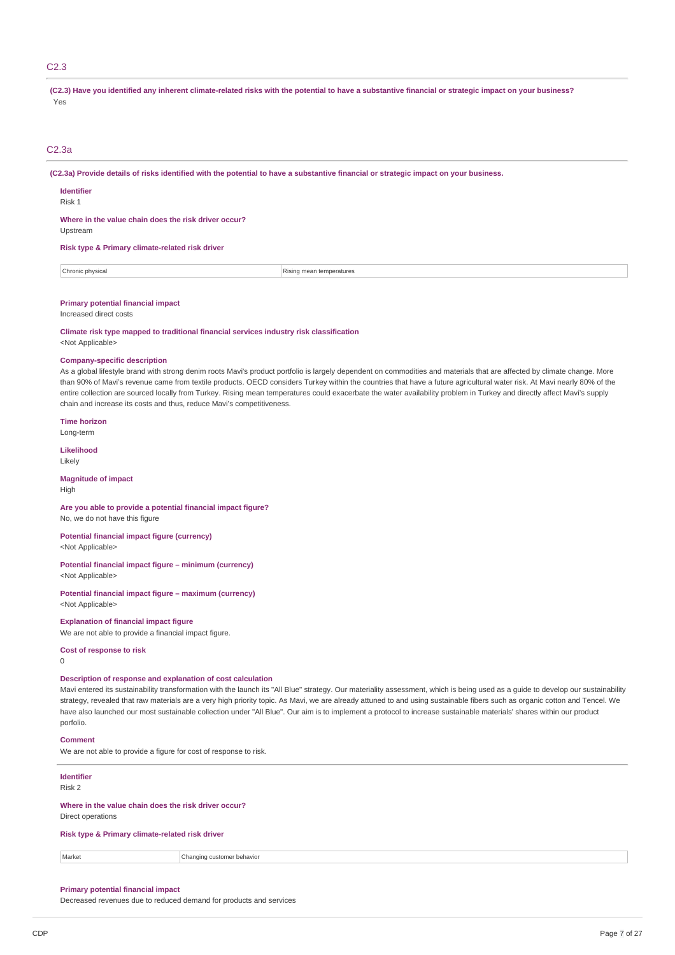## C2.3

(C2.3) Have you identified any inherent climate-related risks with the potential to have a substantive financial or strategic impact on your business? Yes

#### C2.3a

(C2.3a) Provide details of risks identified with the potential to have a substantive financial or strategic impact on your business.

**Identifier**

Upstream

Risk 1

**Where in the value chain does the risk driver occur?**

**Risk type & Primary climate-related risk driver**

**Chronic physical** Rising mean temperatures

#### **Primary potential financial impact**

Increased direct costs

**Climate risk type mapped to traditional financial services industry risk classification** <Not Applicable>

#### **Company-specific description**

As a global lifestyle brand with strong denim roots Mavi's product portfolio is largely dependent on commodities and materials that are affected by climate change. More than 90% of Mavi's revenue came from textile products. OECD considers Turkey within the countries that have a future agricultural water risk. At Mavi nearly 80% of the entire collection are sourced locally from Turkey. Rising mean temperatures could exacerbate the water availability problem in Turkey and directly affect Mayi's supply chain and increase its costs and thus, reduce Mavi's competitiveness.

**Time horizon**

Long-term

**Likelihood**

Likely

#### **Magnitude of impact** High

## **Are you able to provide a potential financial impact figure?**

No, we do not have this figure

#### **Potential financial impact figure (currency)** <Not Applicable>

**Potential financial impact figure – minimum (currency)** <Not Applicable>

#### **Potential financial impact figure – maximum (currency)** <Not Applicable>

## **Explanation of financial impact figure**

We are not able to provide a financial impact figure.

#### **Cost of response to risk**

 $\Omega$ 

## **Description of response and explanation of cost calculation**

Mavi entered its sustainability transformation with the launch its "All Blue" strategy. Our materiality assessment, which is being used as a guide to develop our sustainability strategy, revealed that raw materials are a very high priority topic. As Mavi, we are already attuned to and using sustainable fibers such as organic cotton and Tencel. We have also launched our most sustainable collection under "All Blue". Our aim is to implement a protocol to increase sustainable materials' shares within our product porfolio.

#### **Comment**

We are not able to provide a figure for cost of response to risk.

#### **Identifier** Risk 2

**Where in the value chain does the risk driver occur?**

Direct operations

## **Risk type & Primary climate-related risk driver**

Market **Changing customer behavior** 

### **Primary potential financial impact**

Decreased revenues due to reduced demand for products and services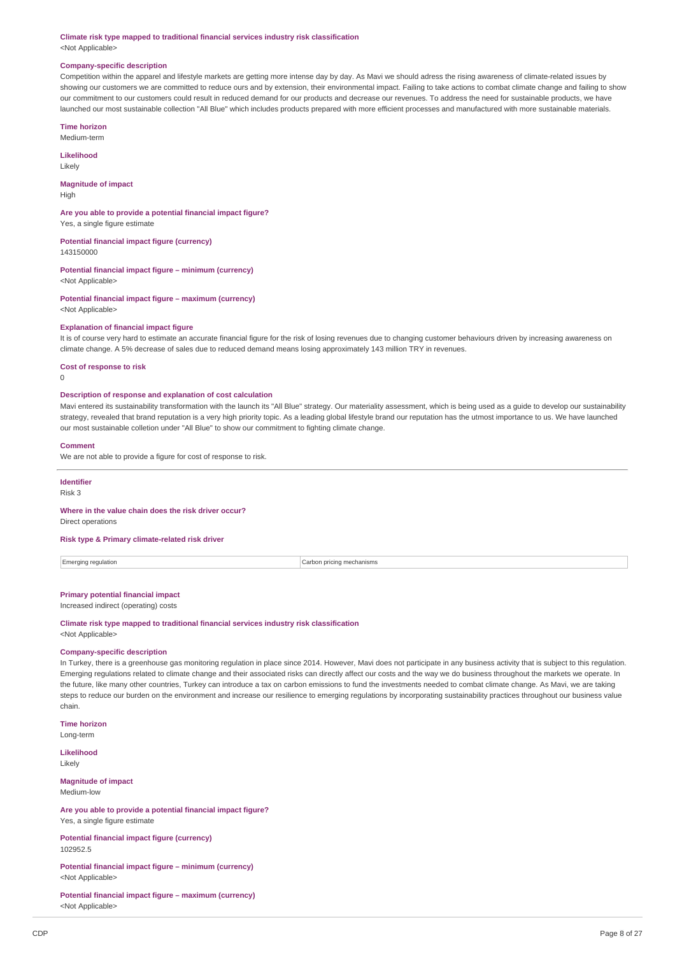**Climate risk type mapped to traditional financial services industry risk classification** <Not Applicable>

### **Company-specific description**

Competition within the apparel and lifestyle markets are getting more intense day by day. As Mavi we should adress the rising awareness of climate-related issues by showing our customers we are committed to reduce ours and by extension, their environmental impact. Failing to take actions to combat climate change and failing to show our commitment to our customers could result in reduced demand for our products and decrease our revenues. To address the need for sustainable products, we have launched our most sustainable collection "All Blue" which includes products prepared with more efficient processes and manufactured with more sustainable materials.

#### **Time horizon**

Medium-term

**Likelihood**

Likely

## **Magnitude of impact**

**High** 

#### **Are you able to provide a potential financial impact figure?**

Yes, a single figure estimate

**Potential financial impact figure (currency)** 143150000

**Potential financial impact figure – minimum (currency)** <Not Applicable>

## **Potential financial impact figure – maximum (currency)**

<Not Applicable>

## **Explanation of financial impact figure**

It is of course very hard to estimate an accurate financial figure for the risk of losing revenues due to changing customer behaviours driven by increasing awareness on climate change. A 5% decrease of sales due to reduced demand means losing approximately 143 million TRY in revenues.

#### **Cost of response to risk**

 $\Omega$ 

#### **Description of response and explanation of cost calculation**

Mavi entered its sustainability transformation with the launch its "All Blue" strategy. Our materiality assessment, which is being used as a guide to develop our sustainability strategy, revealed that brand reputation is a very high priority topic. As a leading global lifestyle brand our reputation has the utmost importance to us. We have launched our most sustainable colletion under "All Blue" to show our commitment to fighting climate change.

#### **Comment**

We are not able to provide a figure for cost of response to risk.

## **Identifier**

Risk 3

#### **Where in the value chain does the risk driver occur?**

Direct operations

#### **Risk type & Primary climate-related risk driver**

Emerging regulation **Carbon pricing mechanisms** Carbon pricing mechanisms

## **Primary potential financial impact**

Increased indirect (operating) costs

#### **Climate risk type mapped to traditional financial services industry risk classification** <Not Applicable>

## **Company-specific description**

In Turkey, there is a greenhouse gas monitoring regulation in place since 2014. However, Mavi does not participate in any business activity that is subject to this regulation. Emerging regulations related to climate change and their associated risks can directly affect our costs and the way we do business throughout the markets we operate. In the future, like many other countries, Turkey can introduce a tax on carbon emissions to fund the investments needed to combat climate change. As Mavi, we are taking steps to reduce our burden on the environment and increase our resilience to emerging regulations by incorporating sustainability practices throughout our business value chain.

**Time horizon**

Long-term

**Likelihood Likely** 

#### **Magnitude of impact** Medium-low

**Are you able to provide a potential financial impact figure?** Yes, a single figure estimate

#### **Potential financial impact figure (currency)** 102952.5

**Potential financial impact figure – minimum (currency)** <Not Applicable>

#### **Potential financial impact figure – maximum (currency)** <Not Applicable>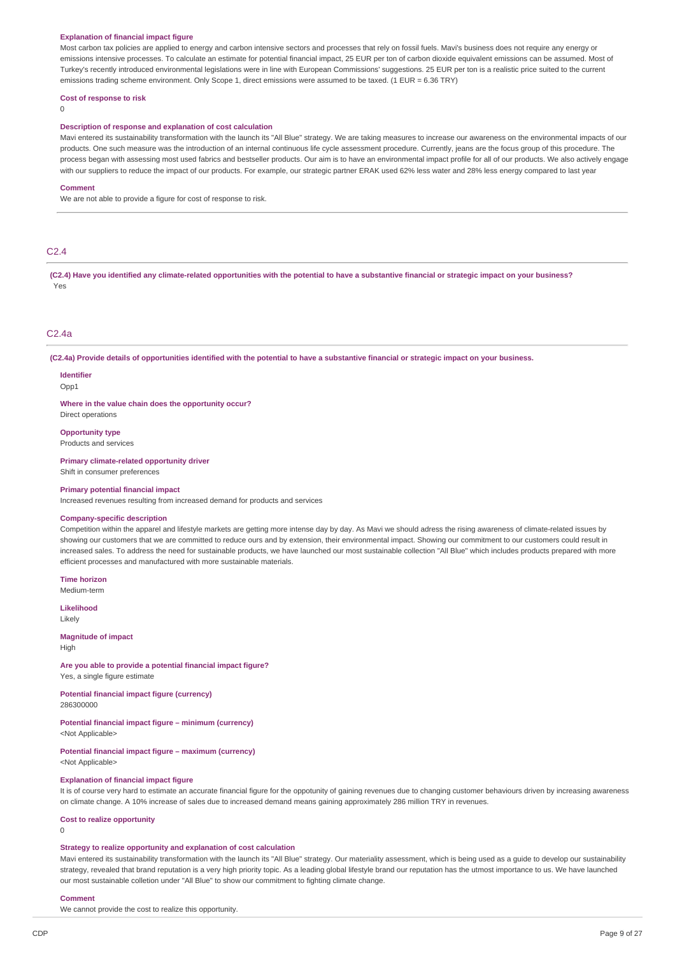#### **Explanation of financial impact figure**

Most carbon tax policies are applied to energy and carbon intensive sectors and processes that rely on fossil fuels. Mavi's business does not require any energy or emissions intensive processes. To calculate an estimate for potential financial impact, 25 EUR per ton of carbon dioxide equivalent emissions can be assumed. Most of Turkey's recently introduced environmental legislations were in line with European Commissions' suggestions. 25 EUR per ton is a realistic price suited to the current emissions trading scheme environment. Only Scope 1, direct emissions were assumed to be taxed. (1 EUR = 6.36 TRY)

#### **Cost of response to risk**

 $\Omega$ 

#### **Description of response and explanation of cost calculation**

Mavi entered its sustainability transformation with the launch its "All Blue" strategy. We are taking measures to increase our awareness on the environmental impacts of our products. One such measure was the introduction of an internal continuous life cycle assessment procedure. Currently, jeans are the focus group of this procedure. The process began with assessing most used fabrics and bestseller products. Our aim is to have an environmental impact profile for all of our products. We also actively engage with our suppliers to reduce the impact of our products. For example, our strategic partner ERAK used 62% less water and 28% less energy compared to last year

#### **Comment**

We are not able to provide a figure for cost of response to risk.

#### C2.4

(C2.4) Have you identified any climate-related opportunities with the potential to have a substantive financial or strategic impact on your business? Yes

#### C2.4a

(C2.4a) Provide details of opportunities identified with the potential to have a substantive financial or strategic impact on your business.

**Identifier**  $Onn1$ 

**Where in the value chain does the opportunity occur?**

## Direct operations **Opportunity type**

Products and services

**Primary climate-related opportunity driver** Shift in consumer preferences

#### **Primary potential financial impact**

Increased revenues resulting from increased demand for products and services

#### **Company-specific description**

Competition within the apparel and lifestyle markets are getting more intense day by day. As Mavi we should adress the rising awareness of climate-related issues by showing our customers that we are committed to reduce ours and by extension, their environmental impact. Showing our commitment to our customers could result in increased sales. To address the need for sustainable products, we have launched our most sustainable collection "All Blue" which includes products prepared with more efficient processes and manufactured with more sustainable materials.

**Time horizon** Medium-term

**Likelihood**

Likely

#### **Magnitude of impact** High

**Are you able to provide a potential financial impact figure?** Yes, a single figure estimate

**Potential financial impact figure (currency)** 286300000

**Potential financial impact figure – minimum (currency)**

<Not Applicable>

**Potential financial impact figure – maximum (currency)** <Not Applicable>

#### **Explanation of financial impact figure**

It is of course very hard to estimate an accurate financial figure for the oppotunity of gaining revenues due to changing customer behaviours driven by increasing awareness on climate change. A 10% increase of sales due to increased demand means gaining approximately 286 million TRY in revenues.

#### **Cost to realize opportunity**

 $\Omega$ 

## **Strategy to realize opportunity and explanation of cost calculation**

Mavi entered its sustainability transformation with the launch its "All Blue" strategy. Our materiality assessment, which is being used as a guide to develop our sustainability strategy, revealed that brand reputation is a very high priority topic. As a leading global lifestyle brand our reputation has the utmost importance to us. We have launched our most sustainable colletion under "All Blue" to show our commitment to fighting climate change.

#### **Comment**

We cannot provide the cost to realize this opportunity.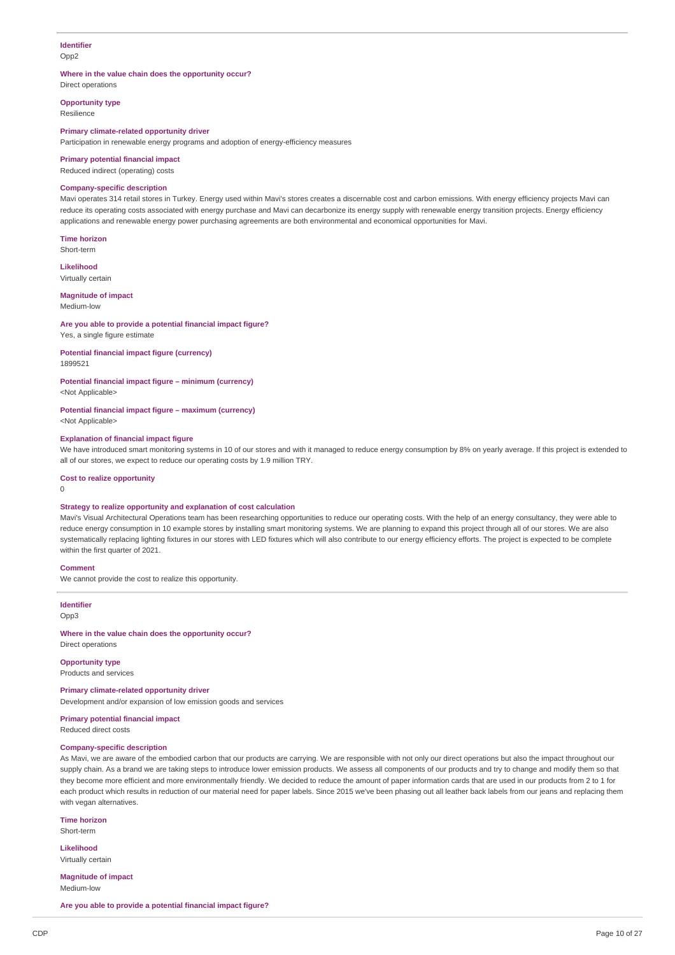#### **Identifier** Opp2

#### **Where in the value chain does the opportunity occur?**

Direct operations

**Opportunity type** Resilience

#### **Primary climate-related opportunity driver**

Participation in renewable energy programs and adoption of energy-efficiency measures

#### **Primary potential financial impact**

Reduced indirect (operating) costs

## **Company-specific description**

Mavi operates 314 retail stores in Turkey. Energy used within Mavi's stores creates a discernable cost and carbon emissions. With energy efficiency projects Mavi can reduce its operating costs associated with energy purchase and Mavi can decarbonize its energy supply with renewable energy transition projects. Energy efficiency applications and renewable energy power purchasing agreements are both environmental and economical opportunities for Mavi.

**Time horizon** Short-term

**Likelihood**

Virtually certain

## **Magnitude of impact**

Medium-low

#### **Are you able to provide a potential financial impact figure?** Yes, a single figure estimate

**Potential financial impact figure (currency)**

1899521

## **Potential financial impact figure – minimum (currency)**

<Not Applicable>

## **Potential financial impact figure – maximum (currency)**

<Not Applicable>

### **Explanation of financial impact figure**

We have introduced smart monitoring systems in 10 of our stores and with it managed to reduce energy consumption by 8% on yearly average. If this project is extended to all of our stores, we expect to reduce our operating costs by 1.9 million TRY.

#### **Cost to realize opportunity**

 $\Omega$ 

#### **Strategy to realize opportunity and explanation of cost calculation**

Mavi's Visual Architectural Operations team has been researching opportunities to reduce our operating costs. With the help of an energy consultancy, they were able to reduce energy consumption in 10 example stores by installing smart monitoring systems. We are planning to expand this project through all of our stores. We are also systematically replacing lighting fixtures in our stores with LED fixtures which will also contribute to our energy efficiency efforts. The project is expected to be complete within the first quarter of 2021.

#### **Comment**

We cannot provide the cost to realize this opportunity.

**Identifier**

Opp3

#### **Where in the value chain does the opportunity occur?** Direct operations

**Opportunity type**

#### Products and services

**Primary climate-related opportunity driver**

Development and/or expansion of low emission goods and services

## **Primary potential financial impact**

Reduced direct costs

## **Company-specific description**

As Mavi, we are aware of the embodied carbon that our products are carrying. We are responsible with not only our direct operations but also the impact throughout our supply chain. As a brand we are taking steps to introduce lower emission products. We assess all components of our products and try to change and modify them so that they become more efficient and more environmentally friendly. We decided to reduce the amount of paper information cards that are used in our products from 2 to 1 for each product which results in reduction of our material need for paper labels. Since 2015 we've been phasing out all leather back labels from our jeans and replacing them with vegan alternatives.

**Time horizon** Short-term

**Likelihood** Virtually certain

**Magnitude of impact** Medium-low

**Are you able to provide a potential financial impact figure?**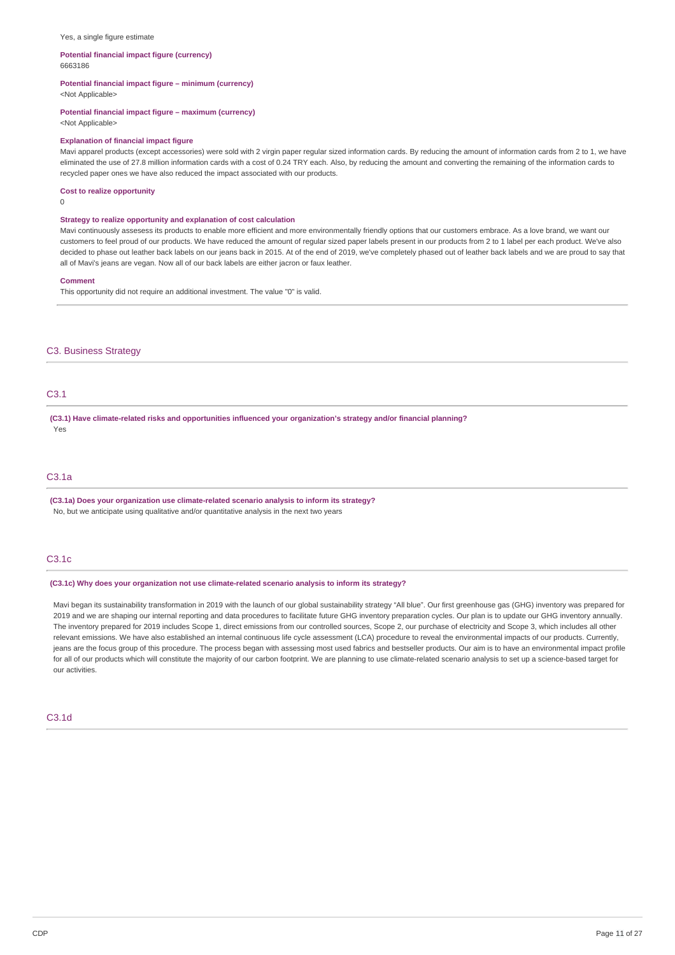#### Yes, a single figure estimate

#### **Potential financial impact figure (currency)** 6663186

**Potential financial impact figure – minimum (currency)**

<Not Applicable>

#### **Potential financial impact figure – maximum (currency)**

<Not Applicable>

#### **Explanation of financial impact figure**

Mavi apparel products (except accessories) were sold with 2 virgin paper regular sized information cards. By reducing the amount of information cards from 2 to 1, we have eliminated the use of 27.8 million information cards with a cost of 0.24 TRY each. Also, by reducing the amount and converting the remaining of the information cards to recycled paper ones we have also reduced the impact associated with our products.

## **Cost to realize opportunity**

 $\Omega$ 

## **Strategy to realize opportunity and explanation of cost calculation**

Mavi continuously assesess its products to enable more efficient and more environmentally friendly options that our customers embrace. As a love brand, we want our customers to feel proud of our products. We have reduced the amount of regular sized paper labels present in our products from 2 to 1 label per each product. We've also decided to phase out leather back labels on our jeans back in 2015. At of the end of 2019, we've completely phased out of leather back labels and we are proud to say that all of Mavi's jeans are vegan. Now all of our back labels are either jacron or faux leather.

#### **Comment**

This opportunity did not require an additional investment. The value "0" is valid.

#### C3. Business Strategy

## C3.1

**(C3.1) Have climate-related risks and opportunities influenced your organization's strategy and/or financial planning?** Yes

## C3.1a

**(C3.1a) Does your organization use climate-related scenario analysis to inform its strategy?** No, but we anticipate using qualitative and/or quantitative analysis in the next two years

### C3.1c

#### **(C3.1c) Why does your organization not use climate-related scenario analysis to inform its strategy?**

Mavi began its sustainability transformation in 2019 with the launch of our global sustainability strategy "All blue". Our first greenhouse gas (GHG) inventory was prepared for 2019 and we are shaping our internal reporting and data procedures to facilitate future GHG inventory preparation cycles. Our plan is to update our GHG inventory annually. The inventory prepared for 2019 includes Scope 1, direct emissions from our controlled sources, Scope 2, our purchase of electricity and Scope 3, which includes all other relevant emissions. We have also established an internal continuous life cycle assessment (LCA) procedure to reveal the environmental impacts of our products. Currently, jeans are the focus group of this procedure. The process began with assessing most used fabrics and bestseller products. Our aim is to have an environmental impact profile for all of our products which will constitute the majority of our carbon footprint. We are planning to use climate-related scenario analysis to set up a science-based target for our activities.

### C3.1d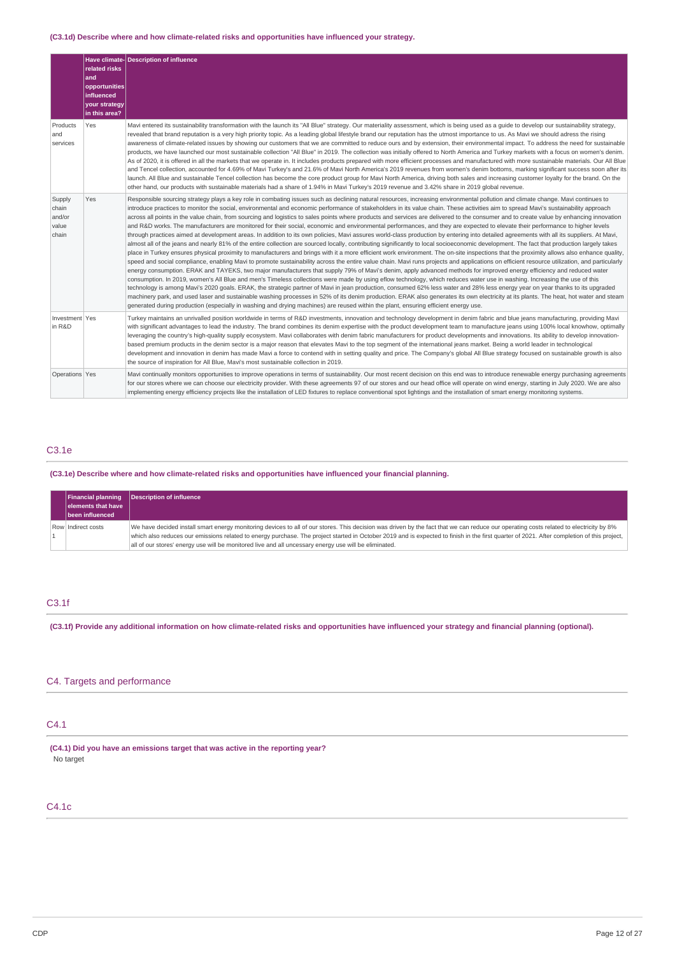## **(C3.1d) Describe where and how climate-related risks and opportunities have influenced your strategy.**

|                                             | related risks<br>and<br>opportunities<br>influenced<br>your strategy<br>in this area? | Have climate- Description of influence                                                                                                                                                                                                                                                                                                                                                                                                                                                                                                                                                                                                                                                                                                                                                                                                                                                                                                                                                                                                                                                                                                                                                                                                                                                                                                                                                                                                                                                                                                                                                                                                                                                                                                                                                                                                                                                                                                                                                                                                                                                                                                                                                                                                                                                                                                                                                                            |
|---------------------------------------------|---------------------------------------------------------------------------------------|-------------------------------------------------------------------------------------------------------------------------------------------------------------------------------------------------------------------------------------------------------------------------------------------------------------------------------------------------------------------------------------------------------------------------------------------------------------------------------------------------------------------------------------------------------------------------------------------------------------------------------------------------------------------------------------------------------------------------------------------------------------------------------------------------------------------------------------------------------------------------------------------------------------------------------------------------------------------------------------------------------------------------------------------------------------------------------------------------------------------------------------------------------------------------------------------------------------------------------------------------------------------------------------------------------------------------------------------------------------------------------------------------------------------------------------------------------------------------------------------------------------------------------------------------------------------------------------------------------------------------------------------------------------------------------------------------------------------------------------------------------------------------------------------------------------------------------------------------------------------------------------------------------------------------------------------------------------------------------------------------------------------------------------------------------------------------------------------------------------------------------------------------------------------------------------------------------------------------------------------------------------------------------------------------------------------------------------------------------------------------------------------------------------------|
| Products<br>and<br>services                 | Yes                                                                                   | Mavi entered its sustainability transformation with the launch its "All Blue" strategy. Our materiality assessment, which is being used as a quide to develop our sustainability strategy,<br>revealed that brand reputation is a very high priority topic. As a leading global lifestyle brand our reputation has the utmost importance to us. As Mavi we should adress the rising<br>awareness of climate-related issues by showing our customers that we are committed to reduce ours and by extension, their environmental impact. To address the need for sustainable<br>products, we have launched our most sustainable collection "All Blue" in 2019. The collection was initially offered to North America and Turkey markets with a focus on women's denim.<br>As of 2020, it is offered in all the markets that we operate in. It includes products prepared with more efficient processes and manufactured with more sustainable materials. Our All Blue<br>and Tencel collection, accounted for 4.69% of Mavi Turkey's and 21.6% of Mavi North America's 2019 revenues from women's denim bottoms, marking significant success soon after its<br>launch. All Blue and sustainable Tencel collection has become the core product group for Mavi North America, driving both sales and increasing customer loyalty for the brand. On the<br>other hand, our products with sustainable materials had a share of 1.94% in Mavi Turkey's 2019 revenue and 3.42% share in 2019 global revenue.                                                                                                                                                                                                                                                                                                                                                                                                                                                                                                                                                                                                                                                                                                                                                                                                                                                                                                              |
| Supply<br>chain<br>and/or<br>value<br>chain | Yes                                                                                   | Responsible sourcing strategy plays a key role in combating issues such as declining natural resources, increasing environmental pollution and climate change. Mavi continues to<br>introduce practices to monitor the social, environmental and economic performance of stakeholders in its value chain. These activities aim to spread Mavi's sustainability approach<br>across all points in the value chain, from sourcing and logistics to sales points where products and services are delivered to the consumer and to create value by enhancing innovation<br>and R&D works. The manufacturers are monitored for their social, economic and environmental performances, and they are expected to elevate their performance to higher levels<br>through practices aimed at development areas. In addition to its own policies, Mavi assures world-class production by entering into detailed agreements with all its suppliers. At Mavi,<br>almost all of the jeans and nearly 81% of the entire collection are sourced locally, contributing significantly to local socioeconomic development. The fact that production largely takes<br>place in Turkey ensures physical proximity to manufacturers and brings with it a more efficient work environment. The on-site inspections that the proximity allows also enhance quality,<br>speed and social compliance, enabling Mavi to promote sustainability across the entire value chain. Mavi runs projects and applications on efficient resource utilization, and particularly<br>energy consumption. ERAK and TAYEKS, two major manufacturers that supply 79% of Mavi's denim, apply advanced methods for improved energy efficiency and reduced water<br>consumption. In 2019, women's All Blue and men's Timeless collections were made by using eflow technology, which reduces water use in washing. Increasing the use of this<br>technology is among Mavi's 2020 goals. ERAK, the strategic partner of Mavi in jean production, consumed 62% less water and 28% less energy year on year thanks to its upgraded<br>machinery park, and used laser and sustainable washing processes in 52% of its denim production. ERAK also generates its own electricity at its plants. The heat, hot water and steam<br>generated during production (especially in washing and drying machines) are reused within the plant, ensuring efficient energy use. |
| Investment Yes<br>in R&D                    |                                                                                       | Turkey maintains an unrivalled position worldwide in terms of R&D investments, innovation and technology development in denim fabric and blue jeans manufacturing, providing Mavi<br>with significant advantages to lead the industry. The brand combines its denim expertise with the product development team to manufacture jeans using 100% local knowhow, optimally<br>leveraging the country's high-quality supply ecosystem. Mavi collaborates with denim fabric manufacturers for product developments and innovations. Its ability to develop innovation-<br>based premium products in the denim sector is a major reason that elevates Mavi to the top segment of the international jeans market. Being a world leader in technological<br>development and innovation in denim has made Mavi a force to contend with in setting quality and price. The Company's global All Blue strategy focused on sustainable growth is also<br>the source of inspiration for All Blue, Mavi's most sustainable collection in 2019.                                                                                                                                                                                                                                                                                                                                                                                                                                                                                                                                                                                                                                                                                                                                                                                                                                                                                                                                                                                                                                                                                                                                                                                                                                                                                                                                                                                  |
| Operations Yes                              |                                                                                       | Mavi continually monitors opportunities to improve operations in terms of sustainability. Our most recent decision on this end was to introduce renewable energy purchasing agreements<br>for our stores where we can choose our electricity provider. With these agreements 97 of our stores and our head office will operate on wind energy, starting in July 2020. We are also<br>implementing energy efficiency projects like the installation of LED fixtures to replace conventional spot lightings and the installation of smart energy monitoring systems.                                                                                                                                                                                                                                                                                                                                                                                                                                                                                                                                                                                                                                                                                                                                                                                                                                                                                                                                                                                                                                                                                                                                                                                                                                                                                                                                                                                                                                                                                                                                                                                                                                                                                                                                                                                                                                                |

## C3.1e

**(C3.1e) Describe where and how climate-related risks and opportunities have influenced your financial planning.**

| <b>Financial planning</b><br>elements that have<br>been influenced | <b>Description of influence</b>                                                                                                                                                                                                                                                                                                                                                                                                                                                               |
|--------------------------------------------------------------------|-----------------------------------------------------------------------------------------------------------------------------------------------------------------------------------------------------------------------------------------------------------------------------------------------------------------------------------------------------------------------------------------------------------------------------------------------------------------------------------------------|
| Row Indirect costs                                                 | We have decided install smart energy monitoring devices to all of our stores. This decision was driven by the fact that we can reduce our operating costs related to electricity by 8%<br>which also reduces our emissions related to energy purchase. The project started in October 2019 and is expected to finish in the first quarter of 2021. After completion of this project,<br>all of our stores' energy use will be monitored live and all uncessary energy use will be eliminated. |

## C3.1f

(C3.1f) Provide any additional information on how climate-related risks and opportunities have influenced your strategy and financial planning (optional).

## C4. Targets and performance

## C4.1

**(C4.1) Did you have an emissions target that was active in the reporting year?** No target

## C4.1c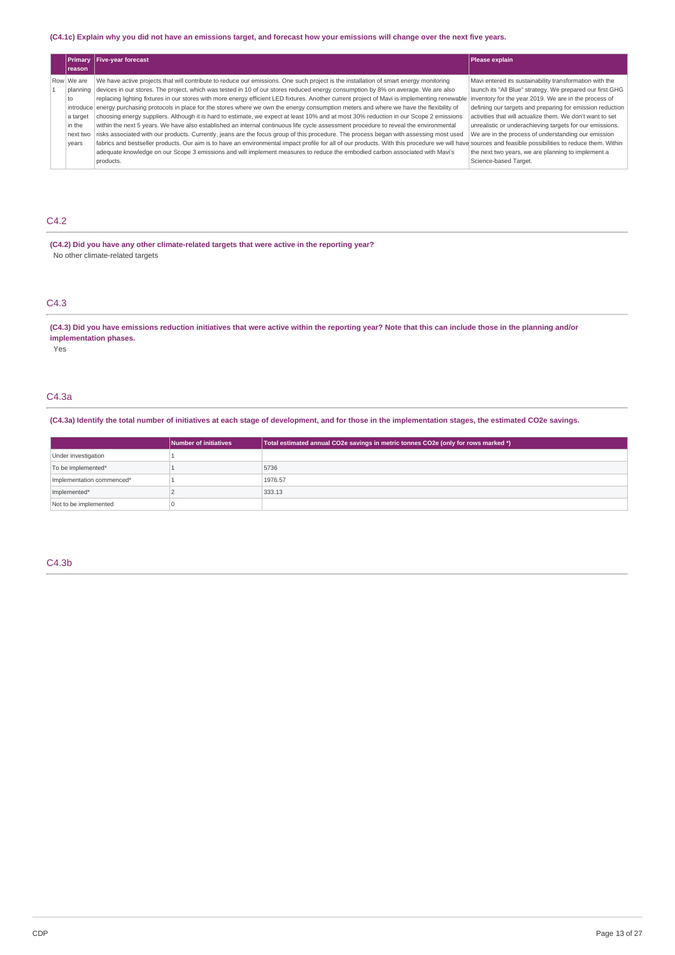### (C4.1c) Explain why you did not have an emissions target, and forecast how your emissions will change over the next five years.

| Primary<br><b>Ireason</b>                                   | <b>Five-year forecast</b>                                                                                                                                                                                                                                                                                                                                                                                                                                                                                                                                                                                                                                                                                                                                                                                                                                                                                                                                                                                                                                                                                                                                                                                                                                                                                                                                               | Please explain                                                                                                                                                                                                                                                                                                                                                                                                                                                                                            |
|-------------------------------------------------------------|-------------------------------------------------------------------------------------------------------------------------------------------------------------------------------------------------------------------------------------------------------------------------------------------------------------------------------------------------------------------------------------------------------------------------------------------------------------------------------------------------------------------------------------------------------------------------------------------------------------------------------------------------------------------------------------------------------------------------------------------------------------------------------------------------------------------------------------------------------------------------------------------------------------------------------------------------------------------------------------------------------------------------------------------------------------------------------------------------------------------------------------------------------------------------------------------------------------------------------------------------------------------------------------------------------------------------------------------------------------------------|-----------------------------------------------------------------------------------------------------------------------------------------------------------------------------------------------------------------------------------------------------------------------------------------------------------------------------------------------------------------------------------------------------------------------------------------------------------------------------------------------------------|
| Row We are<br>to<br>a target<br>in the<br>next two<br>vears | We have active projects that will contribute to reduce our emissions. One such project is the installation of smart energy monitoring<br>planning devices in our stores. The project, which was tested in 10 of our stores reduced energy consumption by 8% on average. We are also<br>replacing lighting fixtures in our stores with more energy efficient LED fixtures. Another current project of Mavi is implementing renewable<br>introduce energy purchasing protocols in place for the stores where we own the energy consumption meters and where we have the flexibility of<br>choosing energy suppliers. Although it is hard to estimate, we expect at least 10% and at most 30% reduction in our Scope 2 emissions<br>within the next 5 years. We have also established an internal continuous life cycle assessment procedure to reveal the environmental<br>risks associated with our products. Currently, jeans are the focus group of this procedure. The process began with assessing most used<br>fabrics and bestseller products. Our aim is to have an environmental impact profile for all of our products. With this procedure we will have sources and feasible possibilities to reduce them. Within<br>adequate knowledge on our Scope 3 emissions and will implement measures to reduce the embodied carbon associated with Mavi's<br>products. | Mavi entered its sustainability transformation with the<br>launch its "All Blue" strategy. We prepared our first GHG<br>inventory for the year 2019. We are in the process of<br>defining our targets and preparing for emission reduction<br>activities that will actualize them. We don't want to set<br>unrealistic or underachieving targets for our emissions.<br>We are in the process of understanding our emission<br>the next two years, we are planning to implement a<br>Science-based Target. |

## C4.2

**(C4.2) Did you have any other climate-related targets that were active in the reporting year?** No other climate-related targets

## C4.3

(C4.3) Did you have emissions reduction initiatives that were active within the reporting year? Note that this can include those in the planning and/or **implementation phases.**

Yes

## C4.3a

(C4.3a) Identify the total number of initiatives at each stage of development, and for those in the implementation stages, the estimated CO2e savings.

|                           | Number of initiatives | Total estimated annual CO2e savings in metric tonnes CO2e (only for rows marked *) |
|---------------------------|-----------------------|------------------------------------------------------------------------------------|
| Under investigation       |                       |                                                                                    |
| To be implemented*        |                       | 5736                                                                               |
| Implementation commenced* |                       | 1976.57                                                                            |
| Implemented*              |                       | 333.13                                                                             |
| Not to be implemented     |                       |                                                                                    |

### C4.3b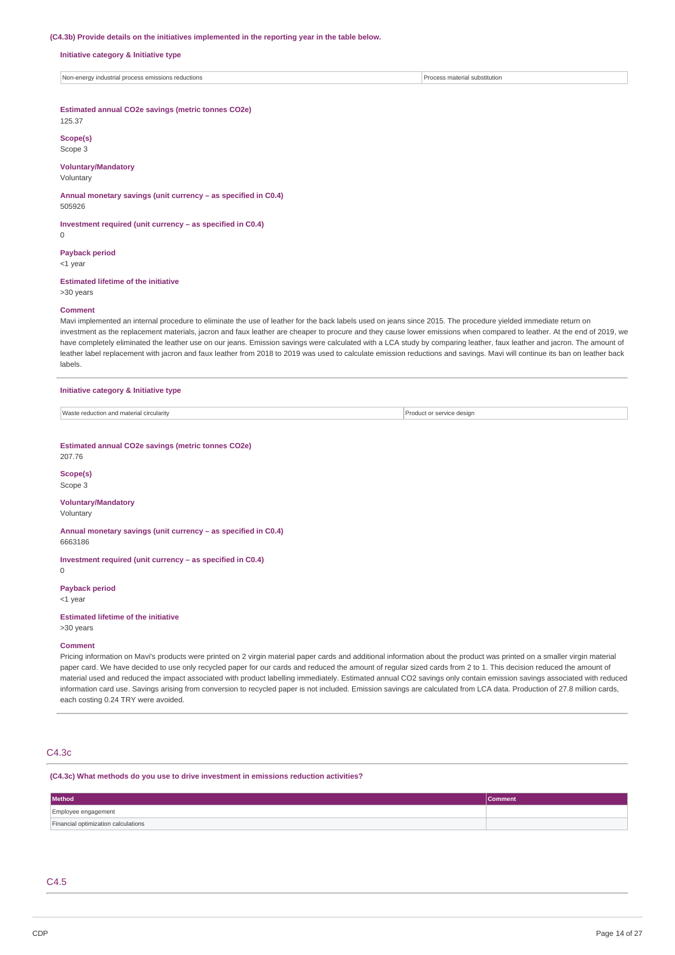#### **(C4.3b) Provide details on the initiatives implemented in the reporting year in the table below.**

#### **Initiative category & Initiative type**

Non-energy industrial process emissions reductions **Process material substitution** Process material substitution

## **Estimated annual CO2e savings (metric tonnes CO2e)**

125.37

**Scope(s)** Scope 3

## **Voluntary/Mandatory**

Voluntary

**Annual monetary savings (unit currency – as specified in C0.4)** 505926

**Investment required (unit currency – as specified in C0.4)**

### **Payback period**

<1 year

0

#### **Estimated lifetime of the initiative**

>30 years

#### **Comment**

Mavi implemented an internal procedure to eliminate the use of leather for the back labels used on jeans since 2015. The procedure yielded immediate return on investment as the replacement materials, jacron and faux leather are cheaper to procure and they cause lower emissions when compared to leather. At the end of 2019, we have completely eliminated the leather use on our jeans. Emission savings were calculated with a LCA study by comparing leather, faux leather and jacron. The amount of leather label replacement with jacron and faux leather from 2018 to 2019 was used to calculate emission reductions and savings. Mavi will continue its ban on leather back labels.

#### **Initiative category & Initiative type**

Waste reduction and material circularity and the state of the state of the state of service design product or service design

#### **Estimated annual CO2e savings (metric tonnes CO2e)** 207.76

## **Scope(s)**

Scope 3

## **Voluntary/Mandatory**

## Voluntary

**Annual monetary savings (unit currency – as specified in C0.4)** 6663186

## **Investment required (unit currency – as specified in C0.4)**

 $\Omega$ 

## **Payback period**

<1 year

## **Estimated lifetime of the initiative**

>30 years

### **Comment**

Pricing information on Mavi's products were printed on 2 virgin material paper cards and additional information about the product was printed on a smaller virgin material paper card. We have decided to use only recycled paper for our cards and reduced the amount of regular sized cards from 2 to 1. This decision reduced the amount of material used and reduced the impact associated with product labelling immediately. Estimated annual CO2 savings only contain emission savings associated with reduced information card use. Savings arising from conversion to recycled paper is not included. Emission savings are calculated from LCA data. Production of 27.8 million cards, each costing 0.24 TRY were avoided.

### C4.3c

#### **(C4.3c) What methods do you use to drive investment in emissions reduction activities?**

| Method                              | <b>Comment</b> |
|-------------------------------------|----------------|
| Employee engagement                 |                |
| Financial optimization calculations |                |

### C4.5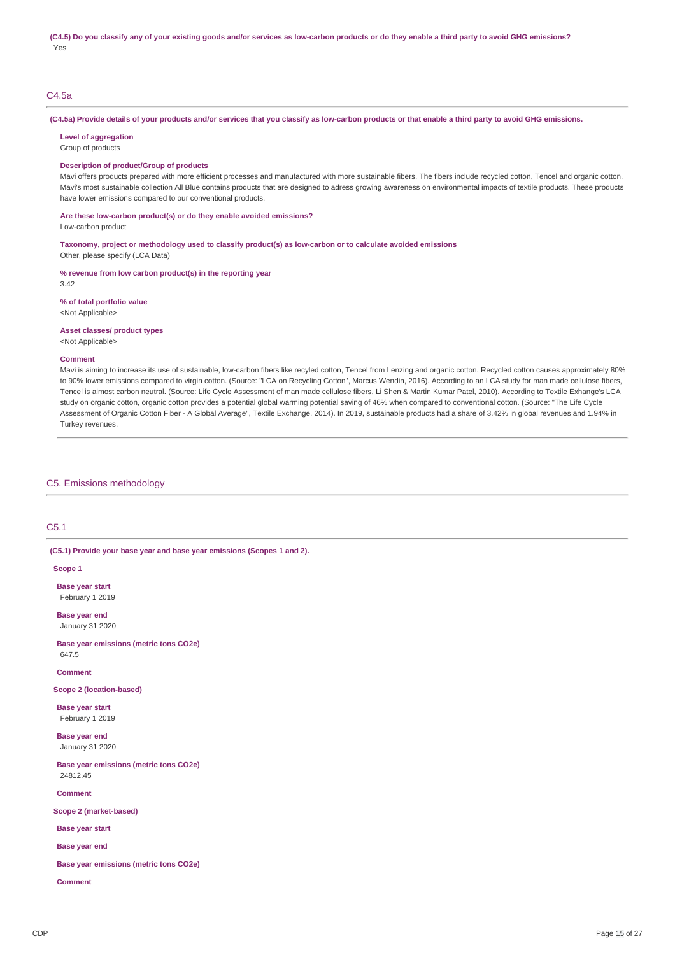## C4.5a

### (C4.5a) Provide details of your products and/or services that you classify as low-carbon products or that enable a third party to avoid GHG emissions.

**Level of aggregation**

### Group of products

## **Description of product/Group of products**

Mavi offers products prepared with more efficient processes and manufactured with more sustainable fibers. The fibers include recycled cotton, Tencel and organic cotton. Mavi's most sustainable collection All Blue contains products that are designed to adress growing awareness on environmental impacts of textile products. These products have lower emissions compared to our conventional products.

### **Are these low-carbon product(s) or do they enable avoided emissions?**

Low-carbon product

**Taxonomy, project or methodology used to classify product(s) as low-carbon or to calculate avoided emissions** Other, please specify (LCA Data)

#### **% revenue from low carbon product(s) in the reporting year** 3.42

**% of total portfolio value** <Not Applicable>

**Asset classes/ product types**

<Not Applicable>

#### **Comment**

Mavi is aiming to increase its use of sustainable, low-carbon fibers like recyled cotton, Tencel from Lenzing and organic cotton. Recycled cotton causes approximately 80% to 90% lower emissions compared to virgin cotton. (Source: "LCA on Recycling Cotton", Marcus Wendin, 2016). According to an LCA study for man made cellulose fibers, Tencel is almost carbon neutral. (Source: Life Cycle Assessment of man made cellulose fibers, Li Shen & Martin Kumar Patel, 2010). According to Textile Exhange's LCA study on organic cotton, organic cotton provides a potential global warming potential saving of 46% when compared to conventional cotton. (Source: "The Life Cycle Assessment of Organic Cotton Fiber - A Global Average", Textile Exchange, 2014). In 2019, sustainable products had a share of 3.42% in global revenues and 1.94% in Turkey revenues.

## C5. Emissions methodology

## C5.1

### **(C5.1) Provide your base year and base year emissions (Scopes 1 and 2).**

**Scope 1**

**Base year start** February 1 2019

**Base year end** January 31 2020

**Base year emissions (metric tons CO2e)** 647.5

#### **Comment**

**Scope 2 (location-based)**

**Base year start** February 1 2019

**Base year end** January 31 2020

**Base year emissions (metric tons CO2e)** 24812.45

**Comment**

**Scope 2 (market-based)**

**Base year start**

**Base year end**

**Base year emissions (metric tons CO2e)**

**Comment**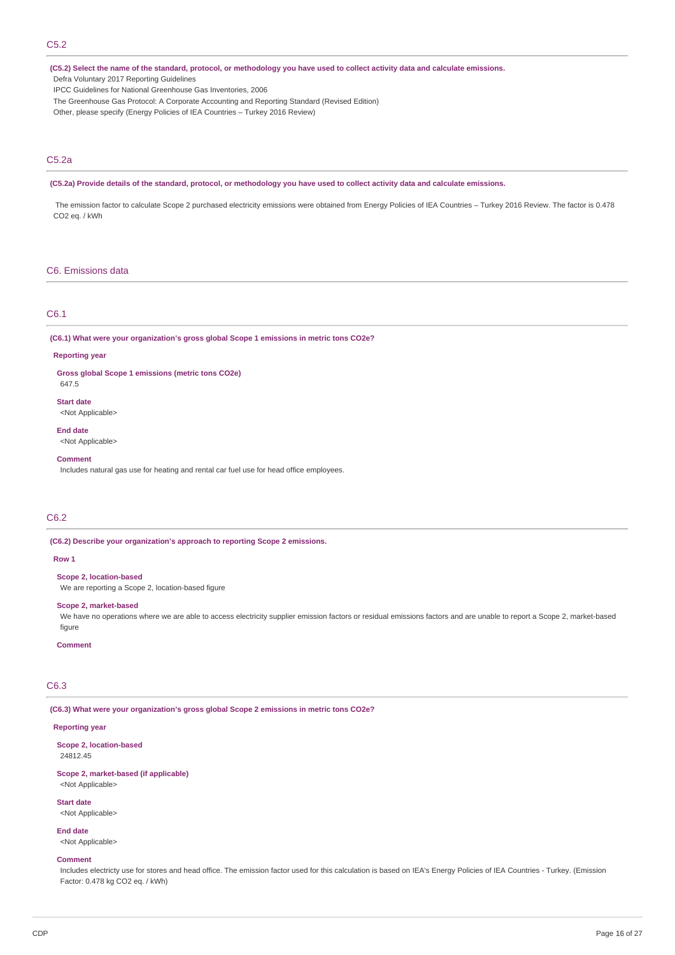(C5.2) Select the name of the standard, protocol, or methodology you have used to collect activity data and calculate emissions. Defra Voluntary 2017 Reporting Guidelines

IPCC Guidelines for National Greenhouse Gas Inventories, 2006

The Greenhouse Gas Protocol: A Corporate Accounting and Reporting Standard (Revised Edition)

## Other, please specify (Energy Policies of IEA Countries – Turkey 2016 Review)

## C5.2a

#### (C5.2a) Provide details of the standard, protocol, or methodology you have used to collect activity data and calculate emissions.

The emission factor to calculate Scope 2 purchased electricity emissions were obtained from Energy Policies of IEA Countries – Turkey 2016 Review. The factor is 0.478 CO2 eq. / kWh

### C6. Emissions data

#### C6.1

**(C6.1) What were your organization's gross global Scope 1 emissions in metric tons CO2e?**

#### **Reporting year**

**Gross global Scope 1 emissions (metric tons CO2e)**

647.5

**Start date** <Not Applicable>

**End date**

<Not Applicable>

**Comment**

Includes natural gas use for heating and rental car fuel use for head office employees.

## C6.2

**(C6.2) Describe your organization's approach to reporting Scope 2 emissions.**

#### **Row 1**

**Scope 2, location-based**

We are reporting a Scope 2, location-based figure

#### **Scope 2, market-based**

We have no operations where we are able to access electricity supplier emission factors or residual emissions factors and are unable to report a Scope 2, market-based figure

#### **Comment**

## C6.3

**(C6.3) What were your organization's gross global Scope 2 emissions in metric tons CO2e?**

### **Reporting year**

**Scope 2, location-based** 24812.45

#### **Scope 2, market-based (if applicable)** <Not Applicable>

**Start date**

<Not Applicable>

#### **End date**

<Not Applicable>

#### **Comment**

Includes electricty use for stores and head office. The emission factor used for this calculation is based on IEA's Energy Policies of IEA Countries - Turkey. (Emission Factor: 0.478 kg CO2 eq. / kWh)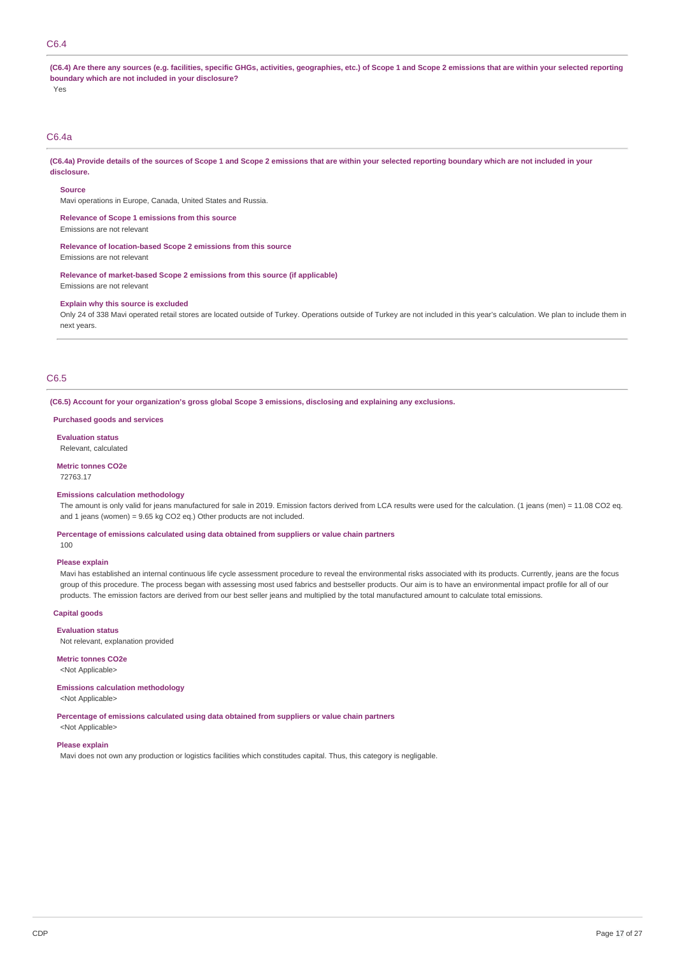## C6.4

(C6.4) Are there any sources (e.g. facilities, specific GHGs, activities, geographies, etc.) of Scope 1 and Scope 2 emissions that are within your selected reporting **boundary which are not included in your disclosure?**

Yes

## C6.4a

(C6.4a) Provide details of the sources of Scope 1 and Scope 2 emissions that are within your selected reporting boundary which are not included in your **disclosure.**

#### **Source**

Mavi operations in Europe, Canada, United States and Russia.

**Relevance of Scope 1 emissions from this source**

# Emissions are not relevant

**Relevance of location-based Scope 2 emissions from this source**

Emissions are not relevant

**Relevance of market-based Scope 2 emissions from this source (if applicable)** Emissions are not relevant

#### **Explain why this source is excluded**

Only 24 of 338 Mavi operated retail stores are located outside of Turkey. Operations outside of Turkey are not included in this year's calculation. We plan to include them in next years.

## C6.5

**(C6.5) Account for your organization's gross global Scope 3 emissions, disclosing and explaining any exclusions.**

#### **Purchased goods and services**

**Evaluation status** Relevant, calculated

## **Metric tonnes CO2e**

72763.17

#### **Emissions calculation methodology**

The amount is only valid for jeans manufactured for sale in 2019. Emission factors derived from LCA results were used for the calculation. (1 jeans (men) = 11.08 CO2 eq. and 1 jeans (women) = 9.65 kg CO2 eq.) Other products are not included.

#### **Percentage of emissions calculated using data obtained from suppliers or value chain partners**

100

## **Please explain**

Mavi has established an internal continuous life cycle assessment procedure to reveal the environmental risks associated with its products. Currently, jeans are the focus group of this procedure. The process began with assessing most used fabrics and bestseller products. Our aim is to have an environmental impact profile for all of our products. The emission factors are derived from our best seller jeans and multiplied by the total manufactured amount to calculate total emissions.

#### **Capital goods**

#### **Evaluation status**

Not relevant, explanation provided

#### **Metric tonnes CO2e**

<Not Applicable>

#### **Emissions calculation methodology**

<Not Applicable>

**Percentage of emissions calculated using data obtained from suppliers or value chain partners**

## <Not Applicable>

**Please explain**

Mavi does not own any production or logistics facilities which constitudes capital. Thus, this category is negligable.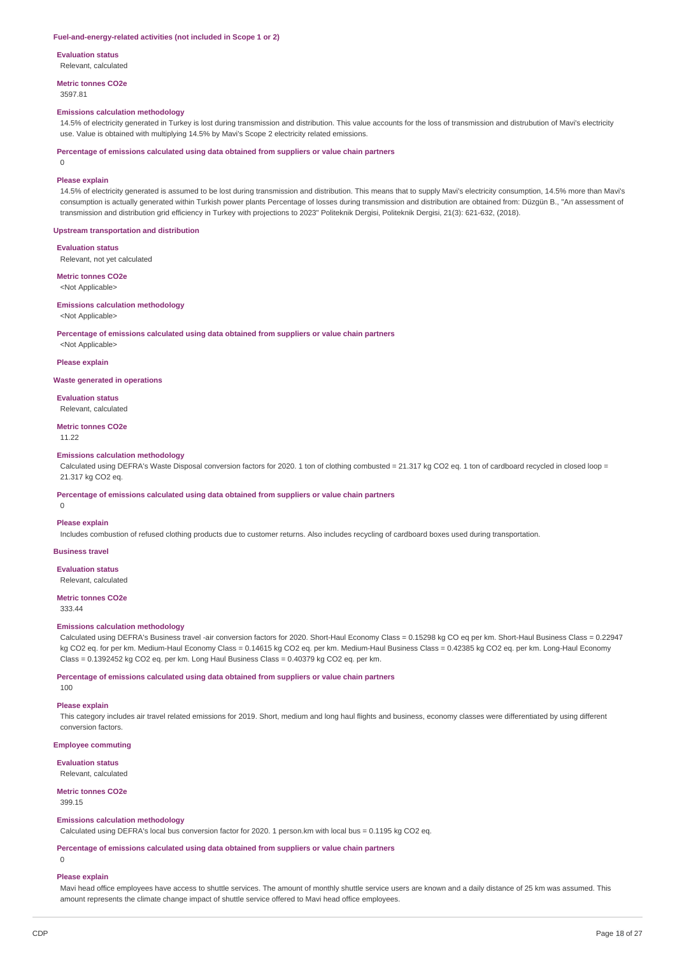#### **Fuel-and-energy-related activities (not included in Scope 1 or 2)**

**Evaluation status**

Relevant, calculated

**Metric tonnes CO2e**

3597.81

#### **Emissions calculation methodology**

14.5% of electricity generated in Turkey is lost during transmission and distribution. This value accounts for the loss of transmission and distrubution of Mavi's electricity use. Value is obtained with multiplying 14.5% by Mavi's Scope 2 electricity related emissions.

**Percentage of emissions calculated using data obtained from suppliers or value chain partners**

0

#### **Please explain**

14.5% of electricity generated is assumed to be lost during transmission and distribution. This means that to supply Mavi's electricity consumption, 14.5% more than Mavi's consumption is actually generated within Turkish power plants Percentage of losses during transmission and distribution are obtained from: Düzgün B., "An assessment of transmission and distribution grid efficiency in Turkey with projections to 2023" Politeknik Dergisi, Politeknik Dergisi, 21(3): 621-632, (2018).

#### **Upstream transportation and distribution**

**Evaluation status**

Relevant, not yet calculated

**Metric tonnes CO2e** <Not Applicable>

#### **Emissions calculation methodology**

<Not Applicable>

#### **Percentage of emissions calculated using data obtained from suppliers or value chain partners**

<Not Applicable>

#### **Please explain**

**Waste generated in operations**

## **Evaluation status**

Relevant, calculated

## **Metric tonnes CO2e**

11.22

#### **Emissions calculation methodology**

Calculated using DEFRA's Waste Disposal conversion factors for 2020. 1 ton of clothing combusted = 21.317 kg CO2 eq. 1 ton of cardboard recycled in closed loop = 21.317 kg CO2 eq.

#### **Percentage of emissions calculated using data obtained from suppliers or value chain partners**

 $\theta$ 

#### **Please explain**

Includes combustion of refused clothing products due to customer returns. Also includes recycling of cardboard boxes used during transportation.

## **Business travel**

**Evaluation status**

Relevant, calculated

## **Metric tonnes CO2e**

333.44

## **Emissions calculation methodology**

Calculated using DEFRA's Business travel -air conversion factors for 2020. Short-Haul Economy Class = 0.15298 kg CO eq per km. Short-Haul Business Class = 0.22947 kg CO2 eq. for per km. Medium-Haul Economy Class = 0.14615 kg CO2 eq. per km. Medium-Haul Business Class = 0.42385 kg CO2 eq. per km. Long-Haul Economy Class = 0.1392452 kg CO2 eq. per km. Long Haul Business Class = 0.40379 kg CO2 eq. per km.

**Percentage of emissions calculated using data obtained from suppliers or value chain partners**

100

## **Please explain**

This category includes air travel related emissions for 2019. Short, medium and long haul flights and business, economy classes were differentiated by using different conversion factors.

**Employee commuting**

**Evaluation status**

## Relevant, calculated

**Metric tonnes CO2e**

399.15

### **Emissions calculation methodology**

Calculated using DEFRA's local bus conversion factor for 2020. 1 person.km with local bus = 0.1195 kg CO2 eq.

#### **Percentage of emissions calculated using data obtained from suppliers or value chain partners**

### $\theta$

### **Please explain**

Mavi head office employees have access to shuttle services. The amount of monthly shuttle service users are known and a daily distance of 25 km was assumed. This amount represents the climate change impact of shuttle service offered to Mavi head office employees.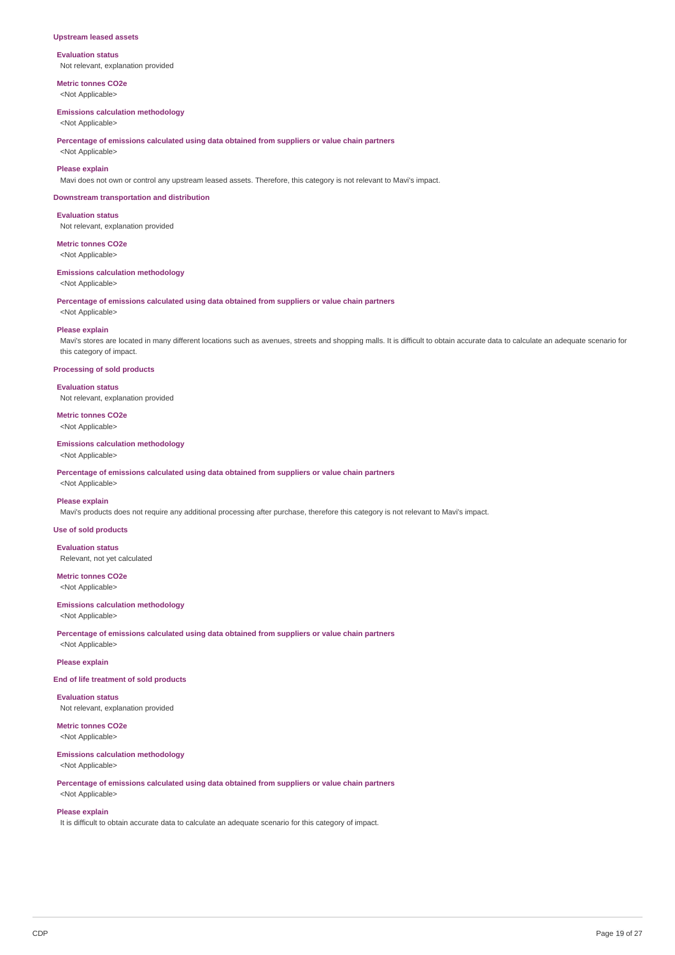#### **Upstream leased assets**

**Evaluation status** Not relevant, explanation provided

**Metric tonnes CO2e**

## <Not Applicable>

**Emissions calculation methodology**

<Not Applicable>

**Percentage of emissions calculated using data obtained from suppliers or value chain partners**

<Not Applicable>

## **Please explain**

Mavi does not own or control any upstream leased assets. Therefore, this category is not relevant to Mavi's impact.

#### **Downstream transportation and distribution**

**Evaluation status** Not relevant, explanation provided

## **Metric tonnes CO2e**

<Not Applicable>

#### **Emissions calculation methodology**

<Not Applicable>

**Percentage of emissions calculated using data obtained from suppliers or value chain partners**

## <Not Applicable>

#### **Please explain**

Mavi's stores are located in many different locations such as avenues, streets and shopping malls. It is difficult to obtain accurate data to calculate an adequate scenario for this category of impact.

### **Processing of sold products**

**Evaluation status** Not relevant, explanation provided

## **Metric tonnes CO2e**

<Not Applicable>

## **Emissions calculation methodology**

<Not Applicable>

**Percentage of emissions calculated using data obtained from suppliers or value chain partners** <Not Applicable>

#### **Please explain**

Mavi's products does not require any additional processing after purchase, therefore this category is not relevant to Mavi's impact.

### **Use of sold products**

**Evaluation status** Relevant, not yet calculated

## **Metric tonnes CO2e**

<Not Applicable>

## **Emissions calculation methodology**

<Not Applicable>

**Percentage of emissions calculated using data obtained from suppliers or value chain partners** <Not Applicable>

#### **Please explain**

## **End of life treatment of sold products**

**Evaluation status**

Not relevant, explanation provided

#### **Metric tonnes CO2e** <Not Applicable>

#### **Emissions calculation methodology** <Not Applicable>

**Percentage of emissions calculated using data obtained from suppliers or value chain partners**

## <Not Applicable> **Please explain**

It is difficult to obtain accurate data to calculate an adequate scenario for this category of impact.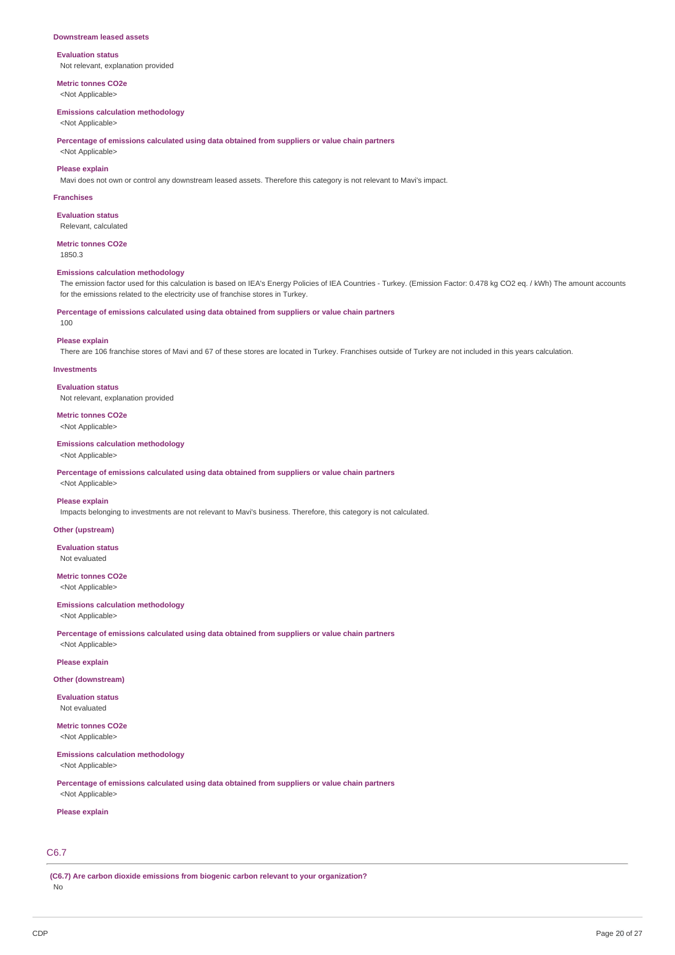#### **Downstream leased assets**

## **Evaluation status**

Not relevant, explanation provided

**Metric tonnes CO2e** <Not Applicable>

#### **Emissions calculation methodology**

<Not Applicable>

**Percentage of emissions calculated using data obtained from suppliers or value chain partners**

## <Not Applicable> **Please explain**

Mavi does not own or control any downstream leased assets. Therefore this category is not relevant to Mavi's impact.

#### **Franchises**

**Evaluation status** Relevant, calculated

#### **Metric tonnes CO2e**

1850.3

#### **Emissions calculation methodology**

The emission factor used for this calculation is based on IEA's Energy Policies of IEA Countries - Turkey. (Emission Factor: 0.478 kg CO2 eq. / kWh) The amount accounts for the emissions related to the electricity use of franchise stores in Turkey.

#### **Percentage of emissions calculated using data obtained from suppliers or value chain partners**

 $100$ 

#### **Please explain**

There are 106 franchise stores of Mavi and 67 of these stores are located in Turkey. Franchises outside of Turkey are not included in this years calculation.

## **Investments**

**Evaluation status** Not relevant, explanation provided

**Metric tonnes CO2e**

## <Not Applicable>

## **Emissions calculation methodology**

<Not Applicable>

**Percentage of emissions calculated using data obtained from suppliers or value chain partners** <Not Applicable>

#### **Please explain**

Impacts belonging to investments are not relevant to Mavi's business. Therefore, this category is not calculated.

## **Other (upstream)**

**Evaluation status** Not evaluated

#### **Metric tonnes CO2e** <Not Applicable>

**Emissions calculation methodology**

<Not Applicable>

**Percentage of emissions calculated using data obtained from suppliers or value chain partners** <Not Applicable>

### **Please explain**

#### **Other (downstream)**

**Evaluation status** Not evaluated

### **Metric tonnes CO2e** <Not Applicable>

**Emissions calculation methodology** <Not Applicable>

**Percentage of emissions calculated using data obtained from suppliers or value chain partners**

## <Not Applicable> **Please explain**

## C6.7

**(C6.7) Are carbon dioxide emissions from biogenic carbon relevant to your organization?** No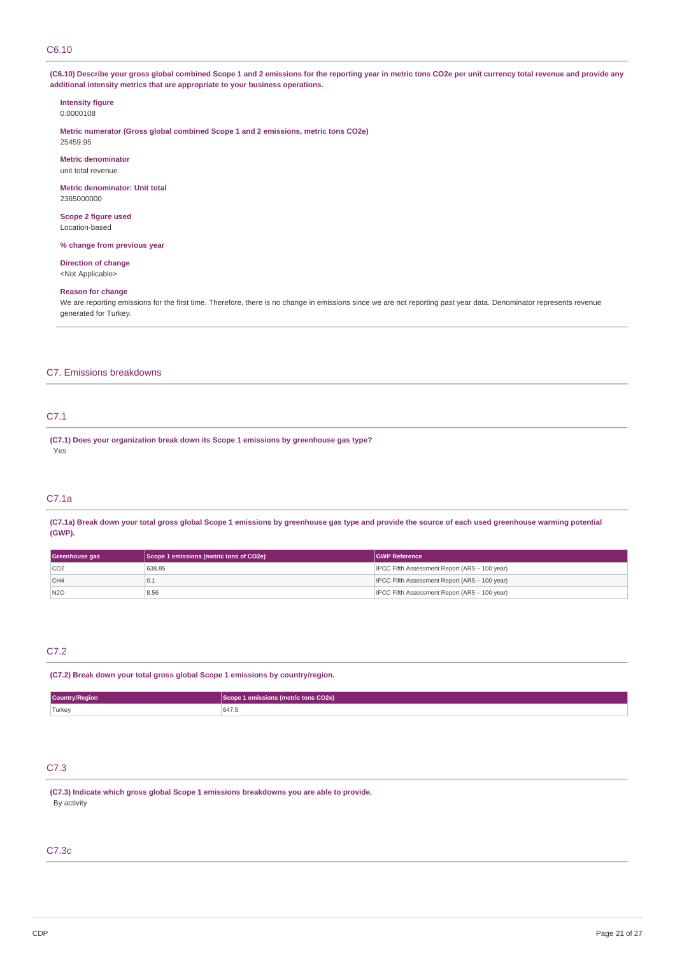### C6.10

(C6.10) Describe your gross global combined Scope 1 and 2 emissions for the reporting year in metric tons CO2e per unit currency total revenue and provide any **additional intensity metrics that are appropriate to your business operations.**

#### **Intensity figure** 0.0000108

**Metric numerator (Gross global combined Scope 1 and 2 emissions, metric tons CO2e)** 25459.95

**Metric denominator** unit total revenue

**Metric denominator: Unit total** 2365000000

**Scope 2 figure used** Location-based

**% change from previous year**

**Direction of change** <Not Applicable>

#### **Reason for change**

We are reporting emissions for the first time. Therefore, there is no change in emissions since we are not reporting past year data. Denominator represents revenue generated for Turkey.

### C7. Emissions breakdowns

## C7.1

**(C7.1) Does your organization break down its Scope 1 emissions by greenhouse gas type?** Yes

## C7.1a

(C7.1a) Break down your total gross global Scope 1 emissions by greenhouse gas type and provide the source of each used greenhouse warming potential **(GWP).**

| Scope 1 emissions (metric tons of CO2e)<br>Greenhouse gas |        | <b>GWP Reference</b>                          |
|-----------------------------------------------------------|--------|-----------------------------------------------|
| CO2                                                       | 638.85 | IPCC Fifth Assessment Report (AR5 - 100 year) |
| CH4                                                       | 10.1   | IPCC Fifth Assessment Report (AR5 - 100 year) |
| N2O                                                       | 8.56   | IPCC Fifth Assessment Report (AR5 - 100 year) |

## C7.2

**(C7.2) Break down your total gross global Scope 1 emissions by country/region.**

| Country/Region | 1 emissions (metric tons CO2e) <sup>1</sup><br><b>Scope</b> |  |
|----------------|-------------------------------------------------------------|--|
| Turkey         | 647.5                                                       |  |

## C7.3

**(C7.3) Indicate which gross global Scope 1 emissions breakdowns you are able to provide.** By activity

## C7.3c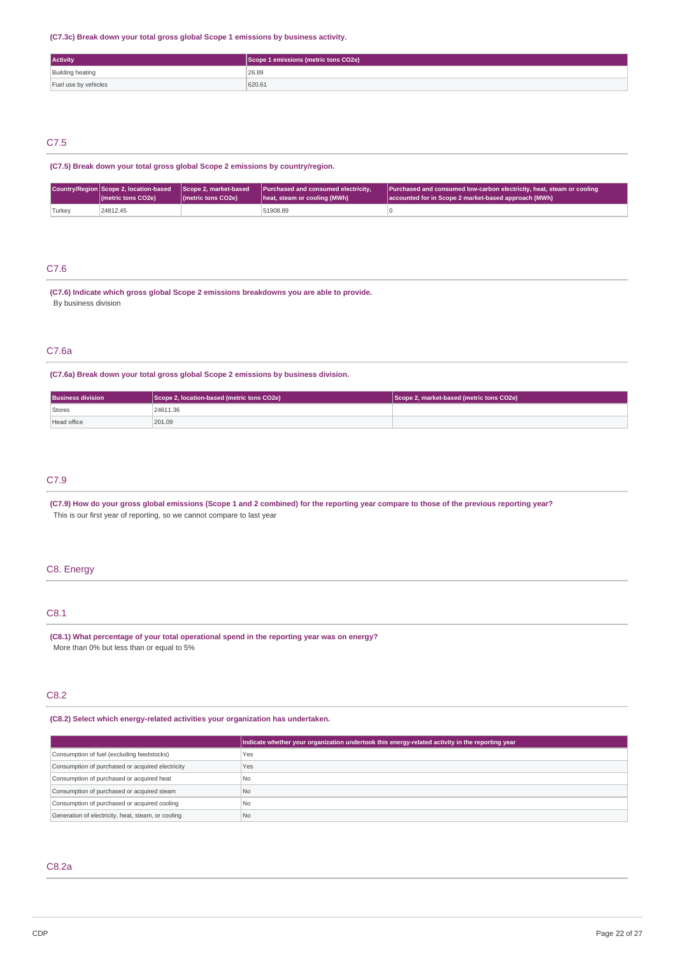### **(C7.3c) Break down your total gross global Scope 1 emissions by business activity.**

| <b>Activity</b>         | Scope 1 emissions (metric tons CO2e) |
|-------------------------|--------------------------------------|
| <b>Building heating</b> | 26.89                                |
| Fuel use by vehicles    | 620.61                               |

## C7.5

**(C7.5) Break down your total gross global Scope 2 emissions by country/region.**

|        | ( <i>I</i> metric tons CO <sub>2</sub> e) | (metric tons CO2e) | Country/Region Scope 2, location-based Scope 2, market-based Purchased and consumed electricity,<br>heat, steam or cooling (MWh) | Purchased and consumed low-carbon electricity, heat, steam or cooling<br>accounted for in Scope 2 market-based approach (MWh) |
|--------|-------------------------------------------|--------------------|----------------------------------------------------------------------------------------------------------------------------------|-------------------------------------------------------------------------------------------------------------------------------|
| Turkey | 24812.45                                  |                    | 51908.89                                                                                                                         |                                                                                                                               |

## C7.6

**(C7.6) Indicate which gross global Scope 2 emissions breakdowns you are able to provide.** By business division

## C7.6a

**(C7.6a) Break down your total gross global Scope 2 emissions by business division.**

| <b>Business division</b> | Scope 2, location-based (metric tons CO2e) | Scope 2, market-based (metric tons CO2e) |
|--------------------------|--------------------------------------------|------------------------------------------|
| Stores                   | 24611.36                                   |                                          |
| Head office              | 201.09                                     |                                          |

## C7.9

(C7.9) How do your gross global emissions (Scope 1 and 2 combined) for the reporting year compare to those of the previous reporting year? This is our first year of reporting, so we cannot compare to last year

## C8. Energy

## C8.1

**(C8.1) What percentage of your total operational spend in the reporting year was on energy?** More than 0% but less than or equal to 5%

## C8.2

### **(C8.2) Select which energy-related activities your organization has undertaken.**

|                                                    | Indicate whether your organization undertook this energy-related activity in the reporting year |
|----------------------------------------------------|-------------------------------------------------------------------------------------------------|
| Consumption of fuel (excluding feedstocks)         | <b>Yes</b>                                                                                      |
| Consumption of purchased or acquired electricity   | Yes                                                                                             |
| Consumption of purchased or acquired heat          | N <sub>0</sub>                                                                                  |
| Consumption of purchased or acquired steam         | No.                                                                                             |
| Consumption of purchased or acquired cooling       | N <sub>0</sub>                                                                                  |
| Generation of electricity, heat, steam, or cooling | N <sub>o</sub>                                                                                  |

## C8.2a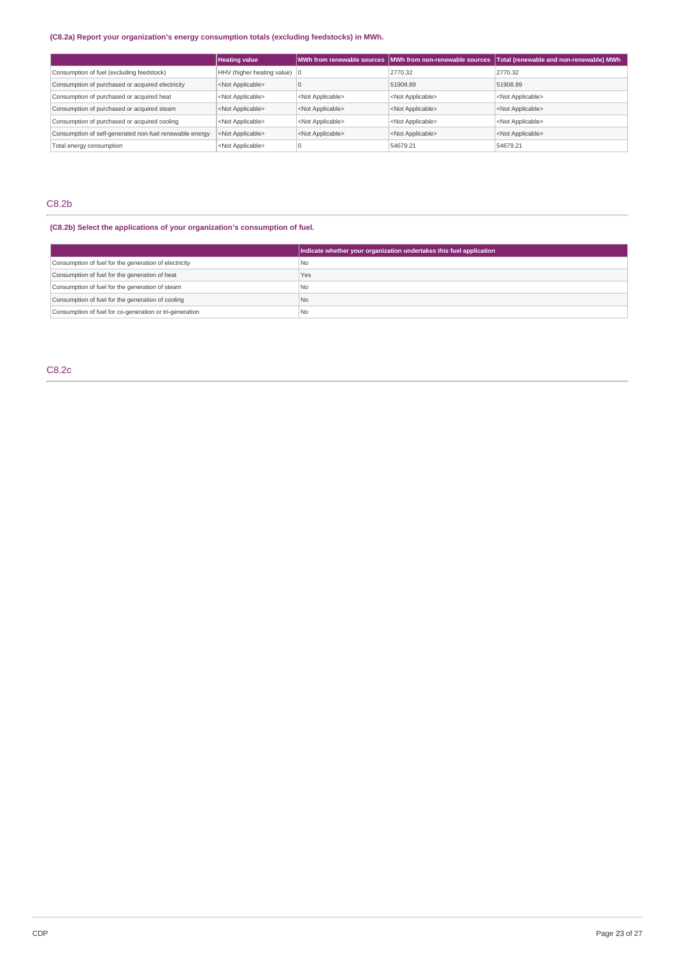## **(C8.2a) Report your organization's energy consumption totals (excluding feedstocks) in MWh.**

|                                                         | <b>Heating value</b>                   |                           | MWh from renewable sources   MWh from non-renewable sources | Total (renewable and non-renewable) MWh |
|---------------------------------------------------------|----------------------------------------|---------------------------|-------------------------------------------------------------|-----------------------------------------|
| Consumption of fuel (excluding feedstock)               | HHV (higher heating value) $ 0\rangle$ |                           | 2770.32                                                     | 2770.32                                 |
| Consumption of purchased or acquired electricity        | <not applicable=""></not>              |                           | 51908.89                                                    | 51908.89                                |
| Consumption of purchased or acquired heat               | <not applicable=""></not>              | <not applicable=""></not> | <not applicable=""></not>                                   | <not applicable=""></not>               |
| Consumption of purchased or acquired steam              | <not applicable=""></not>              | <not applicable=""></not> | <not applicable=""></not>                                   | <not applicable=""></not>               |
| Consumption of purchased or acquired cooling            | <not applicable=""></not>              | <not applicable=""></not> | <not applicable=""></not>                                   | <not applicable=""></not>               |
| Consumption of self-generated non-fuel renewable energy | <not applicable=""></not>              | <not applicable=""></not> | <not applicable=""></not>                                   | <not applicable=""></not>               |
| Total energy consumption                                | <not applicable=""></not>              |                           | 54679.21                                                    | 54679.21                                |

## C8.2b

## **(C8.2b) Select the applications of your organization's consumption of fuel.**

|                                                         | Indicate whether your organization undertakes this fuel application |
|---------------------------------------------------------|---------------------------------------------------------------------|
| Consumption of fuel for the generation of electricity   | l No                                                                |
| Consumption of fuel for the generation of heat          | Yes                                                                 |
| Consumption of fuel for the generation of steam         | l No                                                                |
| Consumption of fuel for the generation of cooling       | I <sub>No</sub>                                                     |
| Consumption of fuel for co-generation or tri-generation | l No                                                                |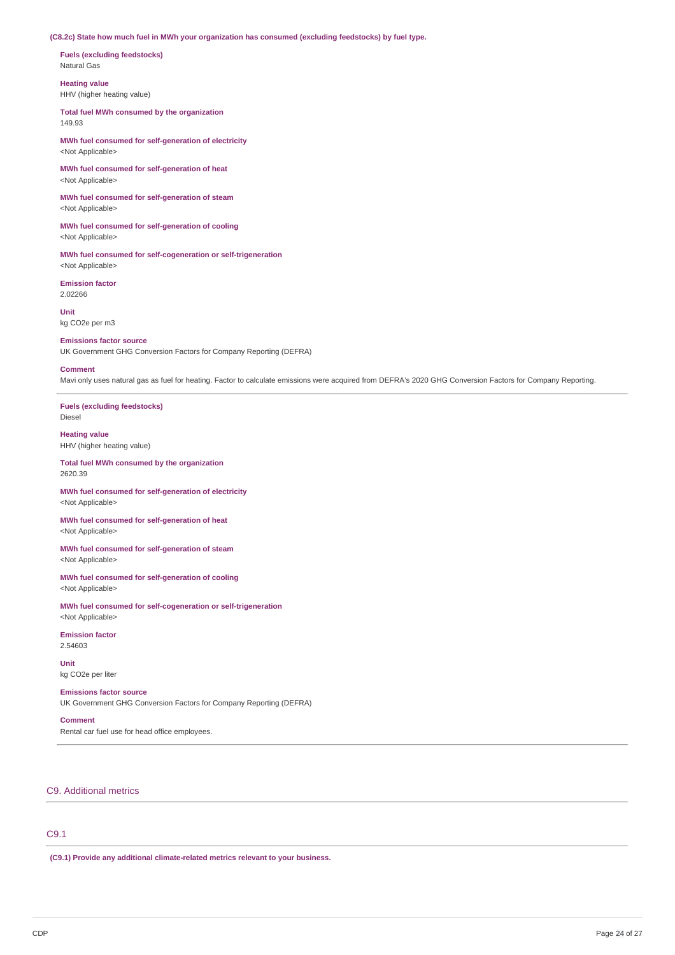**(C8.2c) State how much fuel in MWh your organization has consumed (excluding feedstocks) by fuel type.**

**Fuels (excluding feedstocks)** Natural Gas

**Heating value** HHV (higher heating value)

**Total fuel MWh consumed by the organization** 149.93

**MWh fuel consumed for self-generation of electricity** <Not Applicable>

**MWh fuel consumed for self-generation of heat** <Not Applicable>

**MWh fuel consumed for self-generation of steam** <Not Applicable>

**MWh fuel consumed for self-generation of cooling** <Not Applicable>

**MWh fuel consumed for self-cogeneration or self-trigeneration** <Not Applicable>

**Emission factor** 2.02266

**Unit** kg CO2e per m3

### **Emissions factor source**

UK Government GHG Conversion Factors for Company Reporting (DEFRA)

#### **Comment**

Mavi only uses natural gas as fuel for heating. Factor to calculate emissions were acquired from DEFRA's 2020 GHG Conversion Factors for Company Reporting.

**Fuels (excluding feedstocks)** Diesel

**Heating value** HHV (higher heating value)

**Total fuel MWh consumed by the organization** 2620.39

**MWh fuel consumed for self-generation of electricity** <Not Applicable>

**MWh fuel consumed for self-generation of heat** <Not Applicable>

**MWh fuel consumed for self-generation of steam** <Not Applicable>

**MWh fuel consumed for self-generation of cooling** <Not Applicable>

**MWh fuel consumed for self-cogeneration or self-trigeneration** <Not Applicable>

**Emission factor** 2.54603

**Unit** kg CO2e per liter

#### **Emissions factor source**

UK Government GHG Conversion Factors for Company Reporting (DEFRA)

## **Comment**

Rental car fuel use for head office employees.

## C9. Additional metrics

## C9.1

**(C9.1) Provide any additional climate-related metrics relevant to your business.**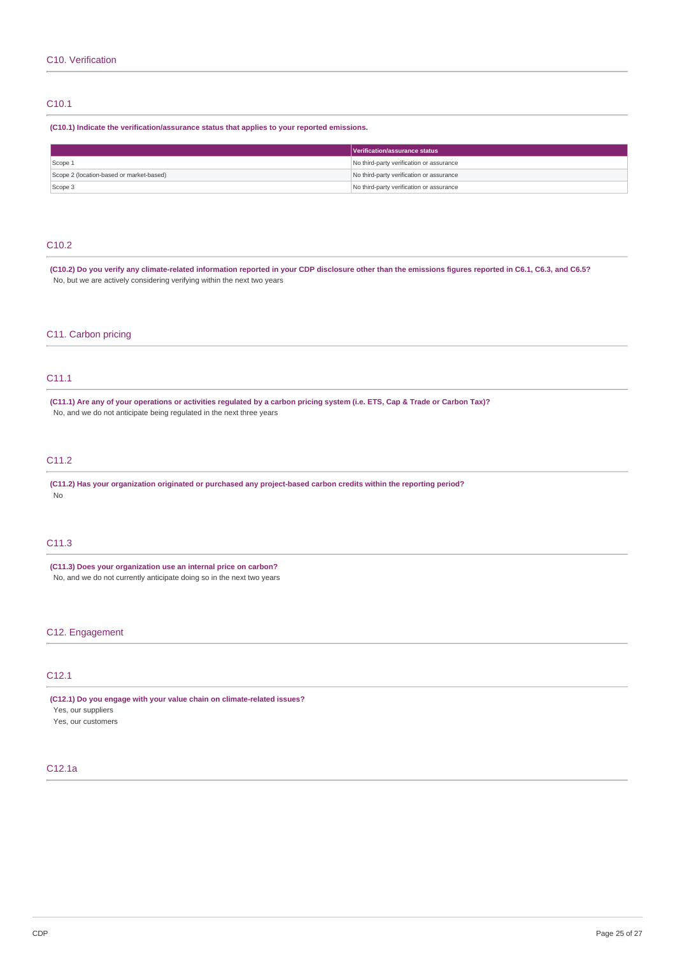## C10.1

#### **(C10.1) Indicate the verification/assurance status that applies to your reported emissions.**

|                                          | Verification/assurance status            |
|------------------------------------------|------------------------------------------|
| Scope 1                                  | No third-party verification or assurance |
| Scope 2 (location-based or market-based) | No third-party verification or assurance |
| Scope 3                                  | No third-party verification or assurance |

## C10.2

(C10.2) Do you verify any climate-related information reported in your CDP disclosure other than the emissions figures reported in C6.1, C6.3, and C6.5? No, but we are actively considering verifying within the next two years

### C11. Carbon pricing

## C11.1

(C11.1) Are any of your operations or activities regulated by a carbon pricing system (i.e. ETS, Cap & Trade or Carbon Tax)? No, and we do not anticipate being regulated in the next three years

## C11.2

**(C11.2) Has your organization originated or purchased any project-based carbon credits within the reporting period?** No

## C11.3

**(C11.3) Does your organization use an internal price on carbon?** No, and we do not currently anticipate doing so in the next two years

## C12. Engagement

## C12.1

**(C12.1) Do you engage with your value chain on climate-related issues?** Yes, our suppliers Yes, our customers

## C12.1a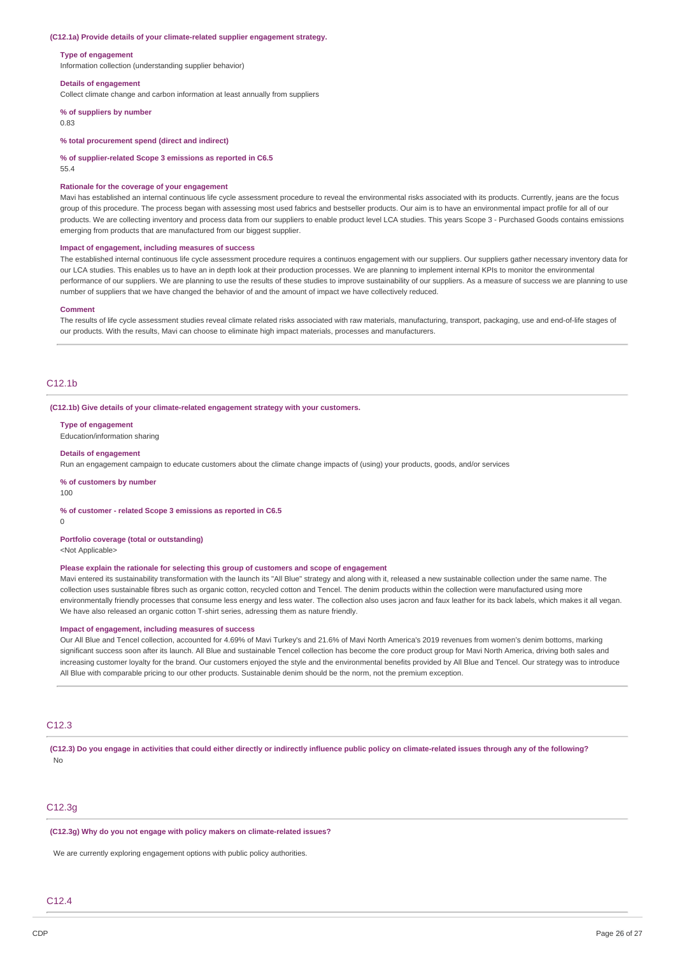#### **(C12.1a) Provide details of your climate-related supplier engagement strategy.**

#### **Type of engagement**

Information collection (understanding supplier behavior)

#### **Details of engagement**

Collect climate change and carbon information at least annually from suppliers

#### **% of suppliers by number**

0.83

#### **% total procurement spend (direct and indirect)**

**% of supplier-related Scope 3 emissions as reported in C6.5**

55.4

#### **Rationale for the coverage of your engagement**

Mavi has established an internal continuous life cycle assessment procedure to reveal the environmental risks associated with its products. Currently, jeans are the focus group of this procedure. The process began with assessing most used fabrics and bestseller products. Our aim is to have an environmental impact profile for all of our products. We are collecting inventory and process data from our suppliers to enable product level LCA studies. This years Scope 3 - Purchased Goods contains emissions emerging from products that are manufactured from our biggest supplier.

#### **Impact of engagement, including measures of success**

The established internal continuous life cycle assessment procedure requires a continuos engagement with our suppliers. Our suppliers gather necessary inventory data for our LCA studies. This enables us to have an in depth look at their production processes. We are planning to implement internal KPIs to monitor the environmental performance of our suppliers. We are planning to use the results of these studies to improve sustainability of our suppliers. As a measure of success we are planning to use number of suppliers that we have changed the behavior of and the amount of impact we have collectively reduced.

#### **Comment**

The results of life cycle assessment studies reveal climate related risks associated with raw materials, manufacturing, transport, packaging, use and end-of-life stages of our products. With the results, Mavi can choose to eliminate high impact materials, processes and manufacturers.

#### $C12.1<sub>b</sub>$

**(C12.1b) Give details of your climate-related engagement strategy with your customers.**

#### **Type of engagement**

Education/information sharing

#### **Details of engagement**

Run an engagement campaign to educate customers about the climate change impacts of (using) your products, goods, and/or services

#### **% of customers by number**

100

#### **% of customer - related Scope 3 emissions as reported in C6.5**

 $\Omega$ 

### **Portfolio coverage (total or outstanding)**

<Not Applicable>

#### **Please explain the rationale for selecting this group of customers and scope of engagement**

Mavi entered its sustainability transformation with the launch its "All Blue" strategy and along with it, released a new sustainable collection under the same name. The collection uses sustainable fibres such as organic cotton, recycled cotton and Tencel. The denim products within the collection were manufactured using more environmentally friendly processes that consume less energy and less water. The collection also uses jacron and faux leather for its back labels, which makes it all vegan. We have also released an organic cotton T-shirt series, adressing them as nature friendly.

#### **Impact of engagement, including measures of success**

Our All Blue and Tencel collection, accounted for 4.69% of Mavi Turkey's and 21.6% of Mavi North America's 2019 revenues from women's denim bottoms, marking significant success soon after its launch. All Blue and sustainable Tencel collection has become the core product group for Mavi North America, driving both sales and increasing customer loyalty for the brand. Our customers enjoyed the style and the environmental benefits provided by All Blue and Tencel. Our strategy was to introduce All Blue with comparable pricing to our other products. Sustainable denim should be the norm, not the premium exception.

## C12.3

(C12.3) Do you engage in activities that could either directly or indirectly influence public policy on climate-related issues through any of the following? No

## C12.3g

#### **(C12.3g) Why do you not engage with policy makers on climate-related issues?**

We are currently exploring engagement options with public policy authorities.